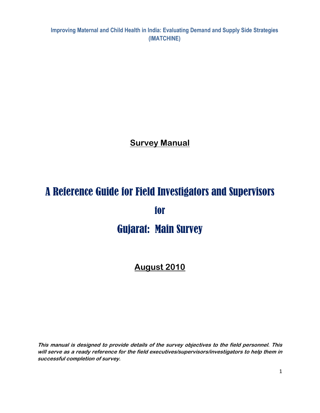Improving Maternal and Child Health in India: Evaluating Demand and Supply Side Strategies (IMATCHINE)

**Survey Manual** 

# A Reference Guide for Field Investigators and Supervisors for Gujarat: Main Survey

# August 2010

This manual is designed to provide details of the survey objectives to the field personnel. This will serve as a ready reference for the field executives/supervisors/investigators to help them in successful completion of survey.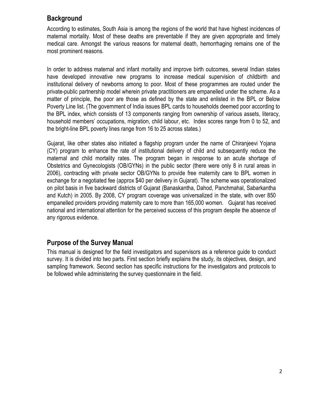# **Background**

According to estimates, South Asia is among the regions of the world that have highest incidences of maternal mortality. Most of these deaths are preventable if they are given appropriate and timely medical care. Amongst the various reasons for maternal death, hemorrhaging remains one of the most prominent reasons.

In order to address maternal and infant mortality and improve birth outcomes, several Indian states have developed innovative new programs to increase medical supervision of childbirth and institutional delivery of newborns among to poor. Most of these programmes are routed under the private-public partnership model wherein private practitioners are empanelled under the scheme. As a matter of principle, the poor are those as defined by the state and enlisted in the BPL or Below Poverty Line list. (The government of India issues BPL cards to households deemed poor according to the BPL index, which consists of 13 components ranging from ownership of various assets, literacy, household members' occupations, migration, child labour, etc. Index scores range from 0 to 52, and the bright-line BPL poverty lines range from 16 to 25 across states.)

Gujarat, like other states also initiated a flagship program under the name of Chiranjeevi Yojana (CY) program to enhance the rate of institutional delivery of child and subsequently reduce the maternal and child mortality rates. The program began in response to an acute shortage of Obstetrics and Gynecologists (OB/GYNs) in the public sector (there were only 8 in rural areas in 2006), contracting with private sector OB/GYNs to provide free maternity care to BPL women in exchange for a negotiated fee (approx \$40 per delivery in Gujarat). The scheme was operationalized on pilot basis in five backward districts of Gujarat (Banaskantha, Dahod, Panchmahal, Sabarkantha and Kutch) in 2005. By 2008, CY program coverage was universalized in the state, with over 850 empanelled providers providing maternity care to more than 165,000 women. Gujarat has received national and international attention for the perceived success of this program despite the absence of any rigorous evidence.

# Purpose of the Survey Manual

This manual is designed for the field investigators and supervisors as a reference guide to conduct survey. It is divided into two parts. First section briefly explains the study, its objectives, design, and sampling framework. Second section has specific instructions for the investigators and protocols to be followed while administering the survey questionnaire in the field.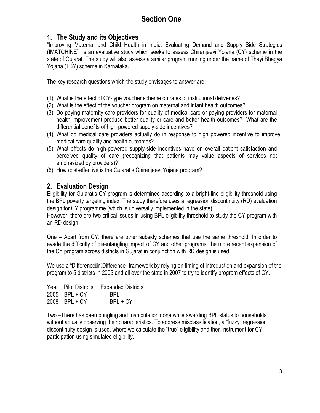# 1. The Study and its Objectives

"Improving Maternal and Child Health in India: Evaluating Demand and Supply Side Strategies (IMATCHINE)" is an evaluative study which seeks to assess Chiranjeevi Yojana (CY) scheme in the state of Gujarat. The study will also assess a similar program running under the name of Thayi Bhagya Yojana (TBY) scheme in Karnataka.

The key research questions which the study envisages to answer are:

- (1) What is the effect of CY-type voucher scheme on rates of institutional deliveries?
- (2) What is the effect of the voucher program on maternal and infant health outcomes?
- (3) Do paying maternity care providers for quality of medical care or paying providers for maternal health improvement produce better quality or care and better health outcomes? What are the differential benefits of high-powered supply-side incentives?
- (4) What do medical care providers actually do in response to high powered incentive to improve medical care quality and health outcomes?
- (5) What effects do high-powered supply-side incentives have on overall patient satisfaction and perceived quality of care (recognizing that patients may value aspects of services not emphasized by providers)?
- (6) How cost-effective is the Gujarat's Chiranjeevi Yojana program?

# 2. Evaluation Design

Eligibility for Gujarat's CY program is determined according to a bright-line eligibility threshold using the BPL poverty targeting index. The study therefore uses a regression discontinuity (RD) evaluation design for CY programme (which is universally implemented in the state).

However, there are two critical issues in using BPL eligibility threshold to study the CY program with an RD design.

One – Apart from CY, there are other subsidy schemes that use the same threshold. In order to evade the difficulty of disentangling impact of CY and other programs, the more recent expansion of the CY program across districts in Gujarat in conjunction with RD design is used.

We use a "Differencellin Difference" framework by relying on timing of introduction and expansion of the program to 5 districts in 2005 and all over the state in 2007 to try to identify program effects of CY.

|               | Year Pilot Districts Expanded Districts |
|---------------|-----------------------------------------|
| 2005 BPL + CY | BPL                                     |
| 2008 BPL + CY | $BPL + CY$                              |

Two –There has been bungling and manipulation done while awarding BPL status to households without actually observing their characteristics. To address misclassification, a "fuzzy" regression discontinuity design is used, where we calculate the "true" eligibility and then instrument for CY participation using simulated eligibility.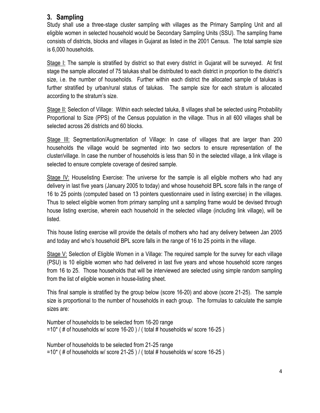# 3. Sampling

Study shall use a three-stage cluster sampling with villages as the Primary Sampling Unit and all eligible women in selected household would be Secondary Sampling Units (SSU). The sampling frame consists of districts, blocks and villages in Gujarat as listed in the 2001 Census. The total sample size is 6,000 households.

Stage I: The sample is stratified by district so that every district in Gujarat will be surveyed. At first stage the sample allocated of 75 talukas shall be distributed to each district in proportion to the district's size, i.e. the number of households. Further within each district the allocated sample of talukas is further stratified by urban/rural status of talukas. The sample size for each stratum is allocated according to the stratum's size.

Stage II: Selection of Village: Within each selected taluka, 8 villages shall be selected using Probability Proportional to Size (PPS) of the Census population in the village. Thus in all 600 villages shall be selected across 26 districts and 60 blocks.

Stage III: Segmentation/Augmentation of Village: In case of villages that are larger than 200 households the village would be segmented into two sectors to ensure representation of the cluster/village. In case the number of households is less than 50 in the selected village, a link village is selected to ensure complete coverage of desired sample.

Stage IV: Houselisting Exercise: The universe for the sample is all eligible mothers who had any delivery in last five years (January 2005 to today) and whose household BPL score falls in the range of 16 to 25 points (computed based on 13 pointers questionnaire used in listing exercise) in the villages. Thus to select eligible women from primary sampling unit a sampling frame would be devised through house listing exercise, wherein each household in the selected village (including link village), will be listed.

This house listing exercise will provide the details of mothers who had any delivery between Jan 2005 and today and who's household BPL score falls in the range of 16 to 25 points in the village.

Stage V: Selection of Eligible Women in a Village: The required sample for the survey for each village (PSU) is 10 eligible women who had delivered in last five years and whose household score ranges from 16 to 25. Those households that will be interviewed are selected using simple random sampling from the list of eligible women in house-listing sheet.

This final sample is stratified by the group below (score 16-20) and above (score 21-25). The sample size is proportional to the number of households in each group. The formulas to calculate the sample sizes are:

Number of households to be selected from 16-20 range =10\* ( # of households w/ score 16-20 ) / ( total # households w/ score 16-25 )

Number of households to be selected from 21-25 range =10\* ( # of households w/ score 21-25 ) / ( total # households w/ score 16-25 )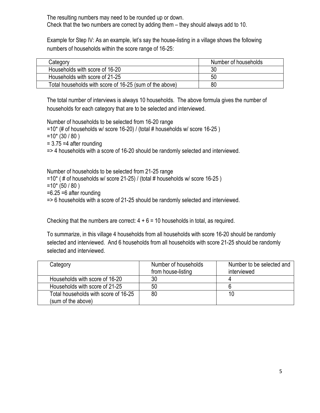The resulting numbers may need to be rounded up or down. Check that the two numbers are correct by adding them – they should always add to 10.

Example for Step IV: As an example, let's say the house-listing in a village shows the following numbers of households within the score range of 16-25:

| Category                                                | Number of households |
|---------------------------------------------------------|----------------------|
| Households with score of 16-20                          | 30                   |
| Households with score of 21-25                          | 50                   |
| Total households with score of 16-25 (sum of the above) | 80                   |

The total number of interviews is always 10 households. The above formula gives the number of households for each category that are to be selected and interviewed.

Number of households to be selected from 16-20 range

 $=10^{*}$  (# of households w/ score 16-20) / (total # households w/ score 16-25)

 $=10* (30 / 80)$ 

 $= 3.75 = 4$  after rounding

=> 4 households with a score of 16-20 should be randomly selected and interviewed.

Number of households to be selected from 21-25 range

```
=10^* (# of households w/ score 21-25) / (total # households w/ score 16-25)
```
- $=10*(50/80)$
- $=6.25 = 6$  after rounding

=> 6 households with a score of 21-25 should be randomly selected and interviewed.

Checking that the numbers are correct:  $4 + 6 = 10$  households in total, as required.

To summarize, in this village 4 households from all households with score 16-20 should be randomly selected and interviewed. And 6 households from all households with score 21-25 should be randomly selected and interviewed.

| Category                             | Number of households | Number to be selected and |
|--------------------------------------|----------------------|---------------------------|
|                                      | from house-listing   | interviewed               |
| Households with score of 16-20       | 30                   |                           |
| Households with score of 21-25       | 50                   |                           |
| Total households with score of 16-25 | 80                   | 10                        |
| (sum of the above)                   |                      |                           |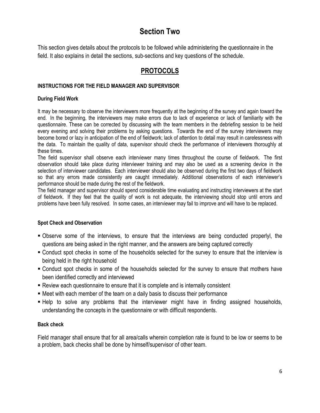# Section Two

This section gives details about the protocols to be followed while administering the questionnaire in the field. It also explains in detail the sections, sub-sections and key questions of the schedule.

# PROTOCOLS

### INSTRUCTIONS FOR THE FIELD MANAGER AND SUPERVISOR

### During Field Work

It may be necessary to observe the interviewers more frequently at the beginning of the survey and again toward the end. In the beginning, the interviewers may make errors due to lack of experience or lack of familiarity with the questionnaire. These can be corrected by discussing with the team members in the debriefing session to be held every evening and solving their problems by asking questions. Towards the end of the survey interviewers may become bored or lazy in anticipation of the end of fieldwork; lack of attention to detail may result in carelessness with the data. To maintain the quality of data, supervisor should check the performance of interviewers thoroughly at these times.

The field supervisor shall observe each interviewer many times throughout the course of fieldwork. The first observation should take place during interviewer training and may also be used as a screening device in the selection of interviewer candidates. Each interviewer should also be observed during the first two days of fieldwork so that any errors made consistently are caught immediately. Additional observations of each interviewer's performance should be made during the rest of the fieldwork.

The field manager and supervisor should spend considerable time evaluating and instructing interviewers at the start of fieldwork. If they feel that the quality of work is not adequate, the interviewing should stop until errors and problems have been fully resolved. In some cases, an interviewer may fail to improve and will have to be replaced.

### Spot Check and Observation

- Observe some of the interviews, to ensure that the interviews are being conducted properlyl, the questions are being asked in the right manner, and the answers are being captured correctly
- Conduct spot checks in some of the households selected for the survey to ensure that the interview is being held in the right household
- Conduct spot checks in some of the households selected for the survey to ensure that mothers have been identified correctly and interviewed
- Review each questionnaire to ensure that it is complete and is internally consistent
- Meet with each member of the team on a daily basis to discuss their performance
- Help to solve any problems that the interviewer might have in finding assigned households, understanding the concepts in the questionnaire or with difficult respondents.

### Back check

Field manager shall ensure that for all area/calls wherein completion rate is found to be low or seems to be a problem, back checks shall be done by himself/supervisor of other team.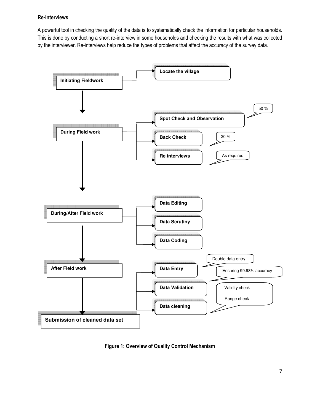#### Re-interviews

A powerful tool in checking the quality of the data is to systematically check the information for particular households. This is done by conducting a short re-interview in some households and checking the results with what was collected by the interviewer. Re-interviews help reduce the types of problems that affect the accuracy of the survey data.



Figure 1: Overview of Quality Control Mechanism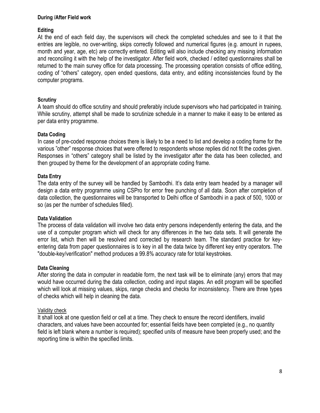#### During /After Field work

#### **Editing**

At the end of each field day, the supervisors will check the completed schedules and see to it that the entries are legible, no over-writing, skips correctly followed and numerical figures (e.g. amount in rupees, month and year, age, etc) are correctly entered. Editing will also include checking any missing information and reconciling it with the help of the investigator. After field work, checked / edited questionnaires shall be returned to the main survey office for data processing. The processing operation consists of office editing, coding of "others" category, open ended questions, data entry, and editing inconsistencies found by the computer programs.

#### **Scrutiny**

A team should do office scrutiny and should preferably include supervisors who had participated in training. While scrutiny, attempt shall be made to scrutinize schedule in a manner to make it easy to be entered as per data entry programme.

#### Data Coding

In case of pre-coded response choices there is likely to be a need to list and develop a coding frame for the various "other" response choices that were offered to respondents whose replies did not fit the codes given. Responses in "others" category shall be listed by the investigator after the data has been collected, and then grouped by theme for the development of an appropriate coding frame.

#### Data Entry

The data entry of the survey will be handled by Sambodhi. It's data entry team headed by a manager will design a data entry programme using CSPro for error free punching of all data. Soon after completion of data collection, the questionnaires will be transported to Delhi office of Sambodhi in a pack of 500, 1000 or so (as per the number of schedules filled).

#### Data Validation

The process of data validation will involve two data entry persons independently entering the data, and the use of a computer program which will check for any differences in the two data sets. It will generate the error list, which then will be resolved and corrected by research team. The standard practice for keyentering data from paper questionnaires is to key in all the data twice by different key entry operators. The "double-key/verification" method produces a 99.8% accuracy rate for total keystrokes.

#### Data Cleaning

After storing the data in computer in readable form, the next task will be to eliminate (any) errors that may would have occurred during the data collection, coding and input stages. An edit program will be specified which will look at missing values, skips, range checks and checks for inconsistency. There are three types of checks which will help in cleaning the data.

#### Validity check

It shall look at one question field or cell at a time. They check to ensure the record identifiers, invalid characters, and values have been accounted for; essential fields have been completed (e.g., no quantity field is left blank where a number is required); specified units of measure have been properly used; and the reporting time is within the specified limits.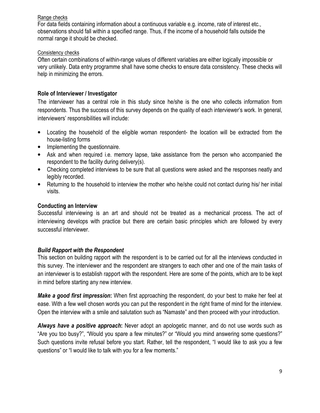### Range checks

For data fields containing information about a continuous variable e.g. income, rate of interest etc., observations should fall within a specified range. Thus, if the income of a household falls outside the normal range it should be checked.

### Consistency checks

Often certain combinations of within-range values of different variables are either logically impossible or very unlikely. Data entry programme shall have some checks to ensure data consistency. These checks will help in minimizing the errors.

### Role of Interviewer / Investigator

The interviewer has a central role in this study since he/she is the one who collects information from respondents. Thus the success of this survey depends on the quality of each interviewer's work. In general, interviewers' responsibilities will include:

- Locating the household of the eligible woman respondent- the location will be extracted from the house-listing forms
- Implementing the questionnaire.
- Ask and when required i.e. memory lapse, take assistance from the person who accompanied the respondent to the facility during delivery(s).
- Checking completed interviews to be sure that all questions were asked and the responses neatly and legibly recorded.
- Returning to the household to interview the mother who he/she could not contact during his/ her initial visits.

### Conducting an Interview

Successful interviewing is an art and should not be treated as a mechanical process. The act of interviewing develops with practice but there are certain basic principles which are followed by every successful interviewer.

### Build Rapport with the Respondent

This section on building rapport with the respondent is to be carried out for all the interviews conducted in this survey. The interviewer and the respondent are strangers to each other and one of the main tasks of an interviewer is to establish rapport with the respondent. Here are some of the points, which are to be kept in mind before starting any new interview.

Make a good first impression: When first approaching the respondent, do your best to make her feel at ease. With a few well chosen words you can put the respondent in the right frame of mind for the interview. Open the interview with a smile and salutation such as "Namaste" and then proceed with your introduction.

Always have a positive approach: Never adopt an apologetic manner, and do not use words such as "Are you too busy?", "Would you spare a few minutes?" or "Would you mind answering some questions?" Such questions invite refusal before you start. Rather, tell the respondent, "I would like to ask you a few questions" or "I would like to talk with you for a few moments."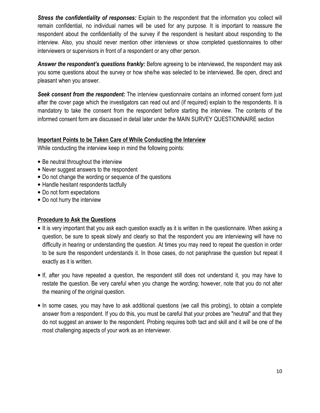**Stress the confidentiality of responses:** Explain to the respondent that the information you collect will remain confidential, no individual names will be used for any purpose. It is important to reassure the respondent about the confidentiality of the survey if the respondent is hesitant about responding to the interview. Also, you should never mention other interviews or show completed questionnaires to other interviewers or supervisors in front of a respondent or any other person.

Answer the respondent's questions frankly: Before agreeing to be interviewed, the respondent may ask you some questions about the survey or how she/he was selected to be interviewed. Be open, direct and pleasant when you answer.

Seek consent from the respondent: The interview questionnaire contains an informed consent form just after the cover page which the investigators can read out and (if required) explain to the respondents. It is mandatory to take the consent from the respondent before starting the interview. The contents of the informed consent form are discussed in detail later under the MAIN SURVEY QUESTIONNAIRE section

# Important Points to be Taken Care of While Conducting the Interview

While conducting the interview keep in mind the following points:

- Be neutral throughout the interview
- Never suggest answers to the respondent
- Do not change the wording or sequence of the questions
- Handle hesitant respondents tactfully
- Do not form expectations
- Do not hurry the interview

### Procedure to Ask the Questions

- It is very important that you ask each question exactly as it is written in the questionnaire. When asking a question, be sure to speak slowly and clearly so that the respondent you are interviewing will have no difficulty in hearing or understanding the question. At times you may need to repeat the question in order to be sure the respondent understands it. In those cases, do not paraphrase the question but repeat it exactly as it is written.
- If, after you have repeated a question, the respondent still does not understand it, you may have to restate the question. Be very careful when you change the wording; however, note that you do not alter the meaning of the original question.
- In some cases, you may have to ask additional questions (we call this probing), to obtain a complete answer from a respondent. If you do this, you must be careful that your probes are "neutral" and that they do not suggest an answer to the respondent. Probing requires both tact and skill and it will be one of the most challenging aspects of your work as an interviewer.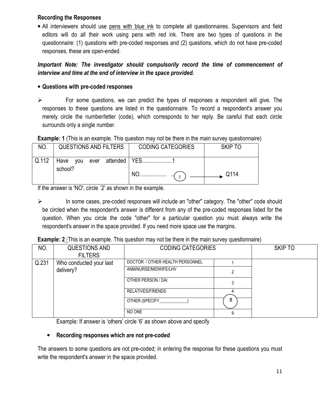### Recording the Responses

• All interviewers should use pens with blue ink to complete all questionnaires. Supervisors and field editors will do all their work using pens with red ink. There are two types of questions in the questionnaire: (1) questions with pre-coded responses and (2) questions, which do not have pre-coded responses, these are open-ended.

# Important Note: The investigator should compulsorily record the time of commencement of interview and time at the end of interview in the space provided.

# • Questions with pre-coded responses

 $\blacktriangleright$  For some questions, we can predict the types of responses a respondent will give. The responses to these questions are listed in the questionnaire. To record a respondent's answer you merely circle the number/letter (code), which corresponds to her reply. Be careful that each circle surrounds only a single number.

# Example: 1 (This is an example. This question may not be there in the main survey questionnaire)

| NO.   | QUESTIONS AND FILTERS                  | <b>CODING CATEGORIES</b> | SKIP TO |
|-------|----------------------------------------|--------------------------|---------|
| Q.112 | Have you ever attended YES1<br>school? |                          |         |
|       |                                        |                          | Q114    |

If the answer is 'NO', circle `2' as shown in the example.

 $\blacktriangleright$  In some cases, pre-coded responses will include an "other" category. The "other" code should be circled when the respondent's answer is different from any of the pre-coded responses listed for the question. When you circle the code "other" for a particular question you must always write the respondent's answer in the space provided. If you need more space use the margins.

# Example: 2 (This is an example. This question may not be there in the main survey questionnaire)

| NO.   | QUESTIONS AND<br><b>FILTERS</b> | <b>CODING CATEGORIES</b>        | <b>SKIP TO</b> |  |
|-------|---------------------------------|---------------------------------|----------------|--|
| Q.231 | Who conducted your last         | DOCTOR / OTHER HEALTH PERSONNEL |                |  |
|       | delivery?                       | ANM/NURSE/MIDWIFE/LHV           |                |  |
|       |                                 | OTHER PERSON / DAI              |                |  |
|       |                                 | RELATIVES/FRIENDS               |                |  |
|       |                                 | OTHER (SPECIFY                  | 8              |  |
|       |                                 | NO ONE                          |                |  |

Example: If answer is 'others' circle '6' as shown above and specify

# • Recording responses which are not pre-coded

The answers to some questions are not pre-coded; in entering the response for these questions you must write the respondent's answer in the space provided.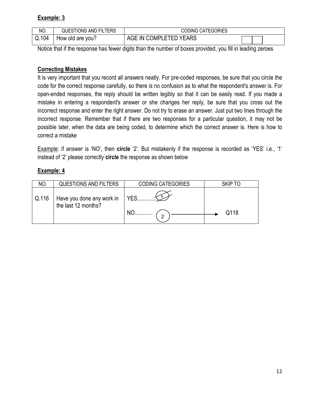# Example: 3

| NO.   | <b>QUESTIONS AND FILTERS</b> | <b>CODING CATEGORIES</b>         |  |
|-------|------------------------------|----------------------------------|--|
| Q.104 | How old are you?             | <b>IN COMPLETED YEARS</b><br>AGE |  |

Notice that if the response has fewer digits than the number of boxes provided, you fill in leading zeroes

# Correcting Mistakes

It is very important that you record all answers neatly. For pre-coded responses, be sure that you circle the code for the correct response carefully, so there is no confusion as to what the respondent's answer is. For open-ended responses, the reply should be written legibly so that it can be easily read. If you made a mistake in entering a respondent's answer or she changes her reply, be sure that you cross out the incorrect response and enter the right answer. Do not try to erase an answer. Just put two lines through the incorrect response. Remember that if there are two responses for a particular question, it may not be possible later, when the data are being coded, to determine which the correct answer is. Here is how to correct a mistake

Example: if answer is 'NO', then circle '2'. But mistakenly if the response is recorded as 'YES' i.e., '1' instead of '2' please correctly circle the response as shown below

# Example: 4

| NO.   | <b>QUESTIONS AND FILTERS</b>                     | <b>CODING CATEGORIES</b> | SKIP TO |
|-------|--------------------------------------------------|--------------------------|---------|
| Q.116 | Have you done any work in<br>the last 12 months? | $\sim$ 1 YES<br>NO       | Q118    |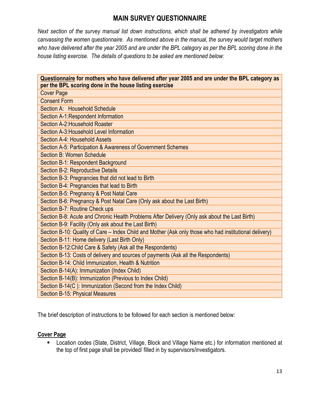# MAIN SURVEY QUESTIONNAIRE

Next section of the survey manual list down instructions, which shall be adhered by investigators while canvassing the women questionnaire. As mentioned above in the manual, the survey would target mothers who have delivered after the year 2005 and are under the BPL category as per the BPL scoring done in the house listing exercise. The details of questions to be asked are mentioned below:

| Questionnaire for mothers who have delivered after year 2005 and are under the BPL category as         |
|--------------------------------------------------------------------------------------------------------|
| per the BPL scoring done in the house listing exercise<br><b>Cover Page</b>                            |
| <b>Consent Form</b>                                                                                    |
| Section A: Household Schedule                                                                          |
| Section A-1: Respondent Information                                                                    |
| Section A-2: Household Roaster                                                                         |
| Section A-3: Household Level Information                                                               |
| Section A-4: Household Assets                                                                          |
| Section A-5: Participation & Awareness of Government Schemes                                           |
| <b>Section B: Women Schedule</b>                                                                       |
| Section B-1: Respondent Background                                                                     |
| Section B-2: Reproductive Details                                                                      |
| Section B-3: Pregnancies that did not lead to Birth                                                    |
| Section B-4: Pregnancies that lead to Birth                                                            |
| Section B-5: Pregnancy & Post Natal Care                                                               |
| Section B-6: Pregnancy & Post Natal Care (Only ask about the Last Birth)                               |
| Section B-7: Routine Check ups                                                                         |
| Section B-8: Acute and Chronic Health Problems After Delivery (Only ask about the Last Birth)          |
| Section B-9: Facility (Only ask about the Last Birth)                                                  |
| Section B-10: Quality of Care - Index Child and Mother (Ask only those who had institutional delivery) |
| Section B-11: Home delivery (Last Birth Only)                                                          |
| Section B-12: Child Care & Safety (Ask all the Respondents)                                            |
| Section B-13: Costs of delivery and sources of payments (Ask all the Respondents)                      |
| Section B-14: Child Immunization, Health & Nutrition                                                   |
| Section B-14(A): Immunization (Index Child)                                                            |
| Section B-14(B): Immunization (Previous to Index Child)                                                |
| Section B-14(C): Immunization (Second from the Index Child)                                            |
| Section B-15: Physical Measures                                                                        |

The brief description of instructions to be followed for each section is mentioned below:

### Cover Page

 Location codes (State, District, Village, Block and Village Name etc.) for information mentioned at the top of first page shall be provided/ filled in by supervisors/investigators.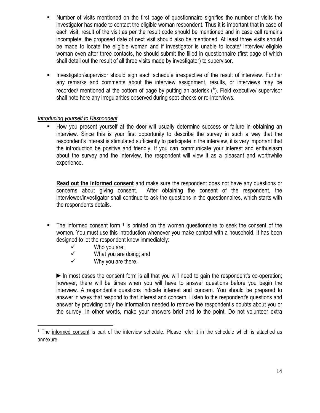- Number of visits mentioned on the first page of questionnaire signifies the number of visits the investigator has made to contact the eligible woman respondent. Thus it is important that in case of each visit, result of the visit as per the result code should be mentioned and in case call remains incomplete, the proposed date of next visit should also be mentioned. At least three visits should be made to locate the eligible woman and if investigator is unable to locate/ interview eligible woman even after three contacts, he should submit the filled in questionnaire (first page of which shall detail out the result of all three visits made by investigator) to supervisor.
- Investigator/supervisor should sign each schedule irrespective of the result of interview. Further any remarks and comments about the interview assignment, results, or interviews may be recorded/ mentioned at the bottom of page by putting an asterisk (\*). Field executive/ supervisor shall note here any irregularities observed during spot-checks or re-interviews.

# Introducing yourself to Respondent

 How you present yourself at the door will usually determine success or failure in obtaining an interview. Since this is your first opportunity to describe the survey in such a way that the respondent's interest is stimulated sufficiently to participate in the interview, it is very important that the introduction be positive and friendly. If you can communicate your interest and enthusiasm about the survey and the interview, the respondent will view it as a pleasant and worthwhile experience.

Read out the informed consent and make sure the respondent does not have any questions or concerns about giving consent. After obtaining the consent of the respondent, the interviewer/investigator shall continue to ask the questions in the questionnaires, which starts with the respondents details.

- $\blacksquare$  The informed consent form  $\smash{1}$  is printed on the women questionnaire to seek the consent of the women. You must use this introduction whenever you make contact with a household. It has been designed to let the respondent know immediately:
	- $\checkmark$  Who you are;<br> $\checkmark$  What you are

- What you are doing; and
- $\checkmark$  Why you are there.

►In most cases the consent form is all that you will need to gain the respondent's co-operation; however, there will be times when you will have to answer questions before you begin the interview. A respondent's questions indicate interest and concern. You should be prepared to answer in ways that respond to that interest and concern. Listen to the respondent's questions and answer by providing only the information needed to remove the respondent's doubts about you or the survey. In other words, make your answers brief and to the point. Do not volunteer extra

<sup>&</sup>lt;sup>1</sup> The informed consent is part of the interview schedule. Please refer it in the schedule which is attached as annexure.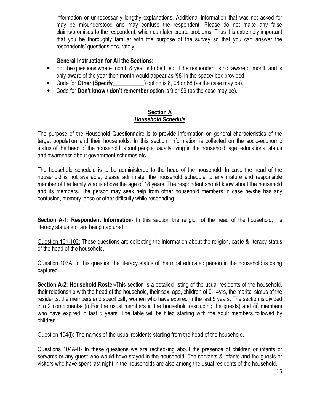information or unnecessarily lengthy explanations. Additional information that was not asked for may be misunderstood and may confuse the respondent. Please do not make any false claims/promises to the respondent, which can later create problems. Thus it is extremely important that you be thoroughly familiar with the purpose of the survey so that you can answer the respondents' questions accurately.

### General Instruction for All the Sections:

- For the questions where month & year is to be filled, if the respondent is not aware of month and is only aware of the year then month would appear as '98' in the space/ box provided.
- Code for Other (Specify \_\_\_\_\_\_\_\_\_\_\_\_\_) option is 8, 08 or 88 (as the case may be).
- Code for Don't know / don't remember option is 9 or 99 (as the case may be).

# Section A Household Schedule

The purpose of the Household Questionnaire is to provide information on general characteristics of the target population and their households. In this section, information is collected on the socio-economic status of the head of the household, about people usually living in the household, age, educational status and awareness about government schemes etc.

The household schedule is to be administered to the head of the household. In case the head of the household is not available, please administer the household schedule to any mature and responsible member of the family who is above the age of 18 years. The respondent should know about the household and its members. The person may seek help from other household members in case he/she has any confusion, memory lapse or other difficulty while responding

Section A-1: Respondent Information- In this section the religion of the head of the household, his literacy status etc. are being captured.

Question 101-103: These questions are collecting the information about the religion, caste & literacy status of the head of the household.

Question 103A: In this question the literacy status of the most educated person in the household is being captured.

Section A-2: Household Roster-This section is a detailed listing of the usual residents of the household, their relationship with the head of the household, their sex, age, children of 0-14yrs, the marital status of the residents, the members and specifically women who have expired in the last 5 years. The section is divided into 2 components- (i) For the usual members in the household (excluding the guests) and (ii) members who have expired in last 5 years. The table will be filled starting with the adult members followed by children.

Question 104(i): The names of the usual residents starting from the head of the household.

Questions 104A-B- In these questions we are rechecking about the presence of children or infants or servants or any guest who would have stayed in the household. The servants & infants and the guests or visitors who have spent last night in the households are also among the usual residents of the household.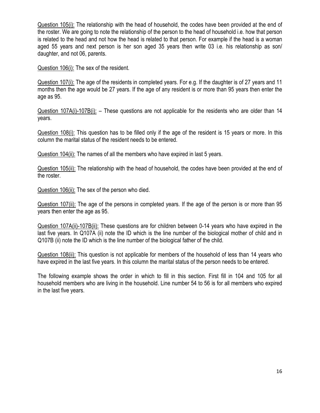Question 105(i): The relationship with the head of household, the codes have been provided at the end of the roster. We are going to note the relationship of the person to the head of household i.e. how that person is related to the head and not how the head is related to that person. For example if the head is a woman aged 55 years and next person is her son aged 35 years then write 03 i.e. his relationship as son/ daughter, and not 06, parents.

Question 106(i): The sex of the resident.

Question 107(i): The age of the residents in completed years. For e.g. If the daughter is of 27 years and 11 months then the age would be 27 years. If the age of any resident is or more than 95 years then enter the age as 95.

Question 107A(i)-107B(i): – These questions are not applicable for the residents who are older than 14 years.

Question 108(i): This question has to be filled only if the age of the resident is 15 years or more. In this column the marital status of the resident needs to be entered.

Question 104(ii): The names of all the members who have expired in last 5 years.

Question 105(ii): The relationship with the head of household, the codes have been provided at the end of the roster.

Question 106(ii): The sex of the person who died.

Question 107(ii): The age of the persons in completed years. If the age of the person is or more than 95 years then enter the age as 95.

Question 107A(ii)-107B(ii): These questions are for children between 0-14 years who have expired in the last five years. In Q107A (ii) note the ID which is the line number of the biological mother of child and in Q107B (ii) note the ID which is the line number of the biological father of the child.

Question 108(ii): This question is not applicable for members of the household of less than 14 years who have expired in the last five years. In this column the marital status of the person needs to be entered.

The following example shows the order in which to fill in this section. First fill in 104 and 105 for all household members who are living in the household. Line number 54 to 56 is for all members who expired in the last five years.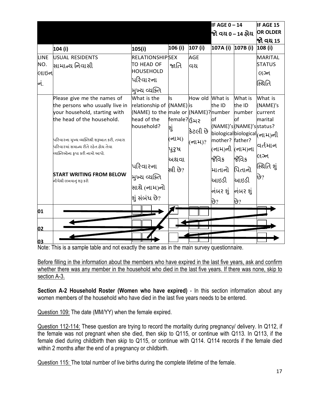|      |                                                             |                                                     | IF AGE $0 - 14$ |                 | IF AGE 15                      |          |                                              |
|------|-------------------------------------------------------------|-----------------------------------------------------|-----------------|-----------------|--------------------------------|----------|----------------------------------------------|
|      |                                                             |                                                     |                 |                 | <mark>જો વય  0−14 ફોય</mark>   |          | <b>OR OLDER</b>                              |
|      |                                                             |                                                     |                 |                 |                                |          | <mark>જ</mark> ો વય 15                       |
|      | 104 (i)                                                     | 105(i)                                              | 106 (i)         | 107 (i)         | 107A (i) 107B (i)              |          | 108 (i)                                      |
| LINE | USUAL RESIDENTS                                             | <b>RELATIONSHIPSEX</b>                              |                 | <b>AGE</b>      |                                |          | <b>MARITAL</b>                               |
| NO.  | <mark>સામાન્ય નિવાસી</mark>                                 | TO HEAD OF                                          | જાતિ            | વય              |                                |          | <b>STATUS</b>                                |
| લાઇન |                                                             | <b>HOUSEHOLD</b>                                    |                 |                 |                                |          | લગ્ન                                         |
| નં.  |                                                             | પરિવારના                                            |                 |                 |                                |          | સ્થિતિ                                       |
|      |                                                             | મુખ્ય વ્યક્તિ                                       |                 |                 |                                |          |                                              |
|      | Please give me the names of                                 | What is the                                         | ls              | How old What is |                                | What is  | What is                                      |
|      | the persons who usually live in                             | relationship of (NAME) is                           |                 |                 | the ID                         | the ID   | (NAME)'s                                     |
|      | your household, starting with<br>the head of the household. | (NAME) to the male or (NAME)? number<br>head of the |                 |                 |                                | number   | current                                      |
|      |                                                             | household?                                          | female?ငြဲ႕၃    |                 | lof<br>(NAME)'s(NAME)'sstatus? | lof      | marital                                      |
|      |                                                             |                                                     | શું             | ક્રિટલી છે      |                                |          | biological biological  <sub>(</sub> न्।भ्)नी |
|      | પરિવારના મુખ્ય વ્યક્તિથી શરૂઆત કરી, તમારા                   |                                                     | (નામ)           | (નામ)?          | mother? father?                |          |                                              |
|      | .<br>પરિવારમાં સમાન્ય રીતે રફેત ફોય તેવા                    |                                                     | પુરૃષ           |                 | (નામ)ની (નામ)ના                |          | વર્તમાન                                      |
|      | વ્યક્તિઓના કૃપા કરી નામો આપો.                               |                                                     | અથવા            |                 | જેવિક                          | જેવિક    | લગ્ન                                         |
|      |                                                             | પરિવારના                                            | સ્ત્રી છે?      |                 |                                | પિતાનો   | સ્થિતિ શું                                   |
|      | <b>START WRITING FROM BELOW</b>                             | મુખ્ય વ્યક્તિ                                       |                 |                 | માતાનો                         |          | છે?                                          |
|      | નીચેથી લખવાનું શરૂ કરો                                      |                                                     |                 |                 | આઇડી                           | આઇડી     |                                              |
|      |                                                             | સાથે (નામ)નો                                        |                 |                 | નંબર શું                       | નંબર શું |                                              |
|      |                                                             | શું સંબંધ છે?                                       |                 |                 | છે?                            | છે?      |                                              |
|      |                                                             |                                                     |                 |                 |                                |          |                                              |
| 01   |                                                             |                                                     |                 |                 |                                |          |                                              |
| 02   |                                                             |                                                     |                 |                 |                                |          |                                              |
| 03   |                                                             |                                                     |                 |                 |                                |          |                                              |

Note: This is a sample table and not exactly the same as in the main survey questionnaire.

Before filling in the information about the members who have expired in the last five years, ask and confirm whether there was any member in the household who died in the last five years. If there was none, skip to section A-3.

Section A-2 Household Roster (Women who have expired) - In this section information about any women members of the household who have died in the last five years needs to be entered.

Question 109: The date (MM/YY) when the female expired.

Question 112-114: These question are trying to record the mortality during pregnancy/ delivery. In Q112, if the female was not pregnant when she died, then skip to Q115, or continue with Q113. In Q113, if the female died during childbirth then skip to Q115, or continue with Q114. Q114 records if the female died within 2 months after the end of a pregnancy or childbirth.

Question 115: The total number of live births during the complete lifetime of the female.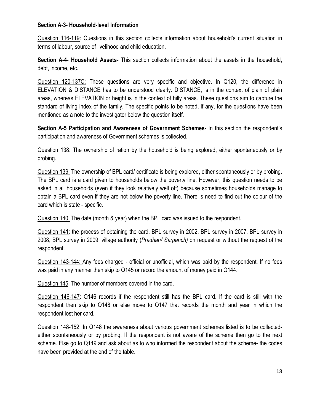### Section A-3- Household-level Information

Question 116-119: Questions in this section collects information about household's current situation in terms of labour, source of livelihood and child education.

Section A-4- Household Assets- This section collects information about the assets in the household, debt, income, etc.

Question 120-137C: These questions are very specific and objective. In Q120, the difference in ELEVATION & DISTANCE has to be understood clearly. DISTANCE, is in the context of plain of plain areas, whereas ELEVATION or height is in the context of hilly areas. These questions aim to capture the standard of living index of the family. The specific points to be noted, if any, for the questions have been mentioned as a note to the investigator below the question itself.

Section A-5 Participation and Awareness of Government Schemes- In this section the respondent's participation and awareness of Government schemes is collected.

Question 138: The ownership of ration by the household is being explored, either spontaneously or by probing.

Question 139: The ownership of BPL card/ certificate is being explored, either spontaneously or by probing. The BPL card is a card given to households below the poverty line. However, this question needs to be asked in all households (even if they look relatively well off) because sometimes households manage to obtain a BPL card even if they are not below the poverty line. There is need to find out the colour of the card which is state - specific.

Question 140: The date (month & year) when the BPL card was issued to the respondent.

Question 141: the process of obtaining the card, BPL survey in 2002, BPL survey in 2007, BPL survey in 2008, BPL survey in 2009, village authority (Pradhan/ Sarpanch) on request or without the request of the respondent.

Question 143-144: Any fees charged - official or unofficial, which was paid by the respondent. If no fees was paid in any manner then skip to Q145 or record the amount of money paid in Q144.

Question 145: The number of members covered in the card.

Question 146-147: Q146 records if the respondent still has the BPL card. If the card is still with the respondent then skip to Q148 or else move to Q147 that records the month and year in which the respondent lost her card.

Question 148-152: In Q148 the awareness about various government schemes listed is to be collectedeither spontaneously or by probing. If the respondent is not aware of the scheme then go to the next scheme. Else go to Q149 and ask about as to who informed the respondent about the scheme- the codes have been provided at the end of the table.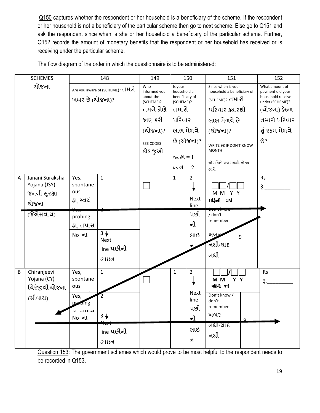Q150 captures whether the respondent or her household is a beneficiary of the scheme. If the respondent or her household is not a beneficiary of the particular scheme then go to next scheme. Else go to Q151 and ask the respondent since when is she or her household a beneficiary of the particular scheme. Further, Q152 records the amount of monetary benefits that the respondent or her household has received or is receiving under the particular scheme.

|              | <b>SCHEMES</b>                                                             | 148                                                                    |                                                            | 149                                                                                                       |                                                                                                                                               | 150                                                            | 151                                                                                                                                                                                                    | 152                                                                                                                                |
|--------------|----------------------------------------------------------------------------|------------------------------------------------------------------------|------------------------------------------------------------|-----------------------------------------------------------------------------------------------------------|-----------------------------------------------------------------------------------------------------------------------------------------------|----------------------------------------------------------------|--------------------------------------------------------------------------------------------------------------------------------------------------------------------------------------------------------|------------------------------------------------------------------------------------------------------------------------------------|
| યોજના        |                                                                            | Are you aware of (SCHEME)? HHol<br>ખબર છે (ચોજના)?                     |                                                            | Who<br>informed you<br>about the<br>(SCHEME)?<br>તમને કોણે<br>જાણ કરી<br>(ચોજના)?<br>SEE CODES<br>કોડ જુઓ | Is your<br>household a<br>beneficiary of<br>(SCHEME)?<br>તમારો<br>પરિવાર<br>લાભ મેળવે<br>છે (યોજના)?<br>$Yes \, \delta I = 1$<br>$N0$ oll = 2 |                                                                | Since when is your<br>household a beneficiary of<br>(SCHEME)? તમારો<br>પરિવાર ક્યારથી<br>લાભ મેળવે છે<br>(यो <b>%</b> ना)?<br>WRITE 98 IF DON'T KNOW<br><b>MONTH</b><br>જો મહિનો ખબર નથી, તો 98<br>લખો | What amount of<br>payment did your<br>household receive<br>under (SCHEME)?<br>(ચોજના) ફેઠળ<br>તમારો પરિવાર<br>શું રકમ મેળવે<br>છે? |
| $\mathsf{A}$ | Janani Suraksha<br>Yojana (JSY)<br>જનની સુરક્ષા<br>ચોજના<br>(श्रेग्रेसवाय) | Yes,<br>spontane<br>ous<br>ફા, સ્વયં<br>probing<br>ફા, તપાસ<br>No oll  | $\mathbf{1}$<br>$3 +$<br><b>Next</b><br>line પછીની<br>લાઇન |                                                                                                           | $\mathbf{1}$                                                                                                                                  | $\overline{2}$<br><b>Next</b><br>line<br>પછી<br>ની<br>લાઇ      | M M Y Y<br>મહિનો વર્ષ<br>/ don't<br>remember<br>ખબર<br>9<br>નથી/યાદ<br>નથી                                                                                                                             | <b>Rs</b><br>3.                                                                                                                    |
| $\sf B$      | Chiranjeevi<br>Yojana (CY)<br>ચિરંજીવી યોજના<br>(સીવાચ)                    | Yes,<br>spontane<br>ous<br>Yes,<br>probing<br><u>ਹ ਖਸਾਨਾ</u><br>No oll | $\mathbf{1}$<br>$3 +$<br>line પછીની<br>લાઇન                |                                                                                                           | $\mathbf{1}$                                                                                                                                  | $\overline{2}$<br>Next<br>line<br>પછી<br><u>ની</u><br>લાઇ<br>ન | M M<br>Y Y<br>મહિનો વર્ષ<br>Don't know /<br>don't<br>remember<br>ખબર<br>$\Omega$<br>નશી/યાદ<br>નથી                                                                                                     | <b>Rs</b><br>$\mathfrak{F}$ .                                                                                                      |

The flow diagram of the order in which the questionnaire is to be administered:

Question 153: The government schemes which would prove to be most helpful to the respondent needs to be recorded in Q153.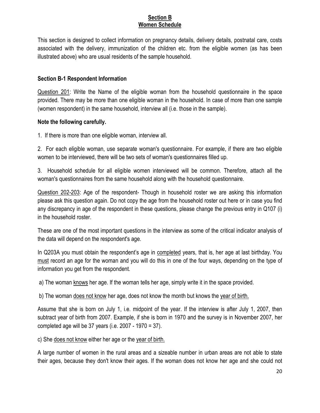### Section B Women Schedule

This section is designed to collect information on pregnancy details, delivery details, postnatal care, costs associated with the delivery, immunization of the children etc. from the eligible women (as has been illustrated above) who are usual residents of the sample household.

# Section B-1 Respondent Information

Question 201: Write the Name of the eligible woman from the household questionnaire in the space provided. There may be more than one eligible woman in the household. In case of more than one sample (women respondent) in the same household, interview all (i.e. those in the sample).

# Note the following carefully.

1. If there is more than one eligible woman, interview all.

2. For each eligible woman, use separate woman's questionnaire. For example, if there are two eligible women to be interviewed, there will be two sets of woman's questionnaires filled up.

3. Household schedule for all eligible women interviewed will be common. Therefore, attach all the woman's questionnaires from the same household along with the household questionnaire.

Question 202-203: Age of the respondent- Though in household roster we are asking this information please ask this question again. Do not copy the age from the household roster out here or in case you find any discrepancy in age of the respondent in these questions, please change the previous entry in Q107 (i) in the household roster.

These are one of the most important questions in the interview as some of the critical indicator analysis of the data will depend on the respondent's age.

In Q203A you must obtain the respondent's age in completed years, that is, her age at last birthday. You must record an age for the woman and you will do this in one of the four ways, depending on the type of information you get from the respondent.

a) The woman knows her age. If the woman tells her age, simply write it in the space provided.

b) The woman does not know her age, does not know the month but knows the year of birth.

Assume that she is born on July 1, i.e. midpoint of the year. If the interview is after July 1, 2007, then subtract year of birth from 2007. Example, if she is born in 1970 and the survey is in November 2007, her completed age will be 37 years (i.e. 2007 - 1970 = 37).

c) She does not know either her age or the year of birth.

A large number of women in the rural areas and a sizeable number in urban areas are not able to state their ages, because they don't know their ages. If the woman does not know her age and she could not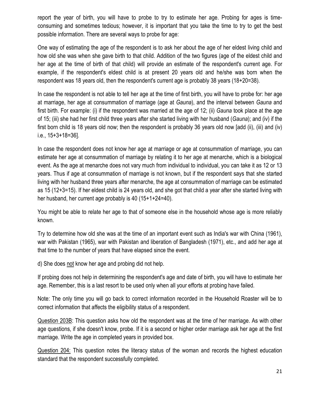report the year of birth, you will have to probe to try to estimate her age. Probing for ages is timeconsuming and sometimes tedious; however, it is important that you take the time to try to get the best possible information. There are several ways to probe for age:

One way of estimating the age of the respondent is to ask her about the age of her eldest living child and how old she was when she gave birth to that child. Addition of the two figures (age of the eldest child and her age at the time of birth of that child) will provide an estimate of the respondent's current age. For example, if the respondent's eldest child is at present 20 years old and he/she was born when the respondent was 18 years old, then the respondent's current age is probably 38 years (18+20=38).

In case the respondent is not able to tell her age at the time of first birth, you will have to probe for: her age at marriage, her age at consummation of marriage (age at Gauna), and the interval between Gauna and first birth. For example: (i) if the respondent was married at the age of 12; (ii) Gauna took place at the age of 15; (iii) she had her first child three years after she started living with her husband (Gauna); and (iv) if the first born child is 18 years old now; then the respondent is probably 36 years old now [add (ii), (iii) and (iv) i.e., 15+3+18=36].

In case the respondent does not know her age at marriage or age at consummation of marriage, you can estimate her age at consummation of marriage by relating it to her age at menarche, which is a biological event. As the age at menarche does not vary much from individual to individual, you can take it as 12 or 13 years. Thus if age at consummation of marriage is not known, but if the respondent says that she started living with her husband three years after menarche, the age at consummation of marriage can be estimated as 15 (12+3=15). If her eldest child is 24 years old, and she got that child a year after she started living with her husband, her current age probably is 40 (15+1+24=40).

You might be able to relate her age to that of someone else in the household whose age is more reliably known.

Try to determine how old she was at the time of an important event such as India's war with China (1961), war with Pakistan (1965), war with Pakistan and liberation of Bangladesh (1971), etc., and add her age at that time to the number of years that have elapsed since the event.

d) She does not know her age and probing did not help.

If probing does not help in determining the respondent's age and date of birth, you will have to estimate her age. Remember, this is a last resort to be used only when all your efforts at probing have failed.

Note: The only time you will go back to correct information recorded in the Household Roaster will be to correct information that affects the eligibility status of a respondent.

Question 203B: This question asks how old the respondent was at the time of her marriage. As with other age questions, if she doesn't know, probe. If it is a second or higher order marriage ask her age at the first marriage. Write the age in completed years in provided box.

Question 204: This question notes the literacy status of the woman and records the highest education standard that the respondent successfully completed.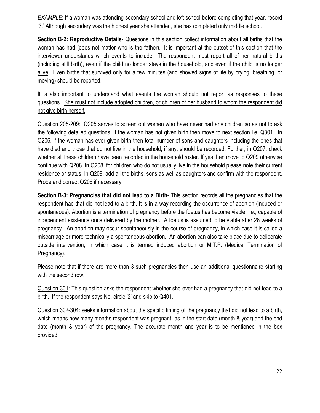EXAMPLE: If a woman was attending secondary school and left school before completing that year, record '3.' Although secondary was the highest year she attended, she has completed only middle school.

Section B-2: Reproductive Details- Questions in this section collect information about all births that the woman has had (does not matter who is the father). It is important at the outset of this section that the interviewer understands which events to include. The respondent must report all of her natural births (including still birth), even if the child no longer stays in the household, and even if the child is no longer alive. Even births that survived only for a few minutes (and showed signs of life by crying, breathing, or moving) should be reported.

It is also important to understand what events the woman should not report as responses to these questions. She must not include adopted children, or children of her husband to whom the respondent did not give birth herself.

Question 205-209: Q205 serves to screen out women who have never had any children so as not to ask the following detailed questions. If the woman has not given birth then move to next section i.e. Q301. In Q206, if the woman has ever given birth then total number of sons and daughters including the ones that have died and those that do not live in the household, if any, should be recorded. Further, in Q207, check whether all these children have been recorded in the household roster. If yes then move to Q209 otherwise continue with Q208. In Q208, for children who do not usually live in the household please note their current residence or status. In Q209, add all the births, sons as well as daughters and confirm with the respondent. Probe and correct Q206 if necessary.

Section B-3: Pregnancies that did not lead to a Birth- This section records all the pregnancies that the respondent had that did not lead to a birth. It is in a way recording the occurrence of abortion (induced or spontaneous). Abortion is a termination of pregnancy before the foetus has become viable, i.e., capable of independent existence once delivered by the mother. A foetus is assumed to be viable after 28 weeks of pregnancy. An abortion may occur spontaneously in the course of pregnancy, in which case it is called a miscarriage or more technically a spontaneous abortion. An abortion can also take place due to deliberate outside intervention, in which case it is termed induced abortion or M.T.P. (Medical Termination of Pregnancy).

Please note that if there are more than 3 such pregnancies then use an additional questionnaire starting with the second row.

Question 301: This question asks the respondent whether she ever had a pregnancy that did not lead to a birth. If the respondent says No, circle '2' and skip to Q401.

Question 302-304: seeks information about the specific timing of the pregnancy that did not lead to a birth, which means how many months respondent was pregnant- as in the start date (month & year) and the end date (month & year) of the pregnancy. The accurate month and year is to be mentioned in the box provided.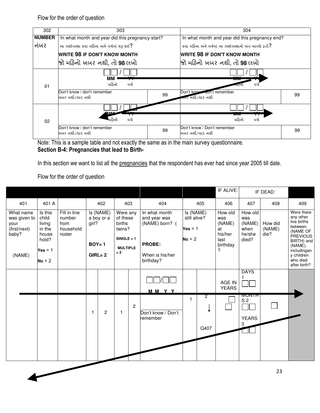Flow for the order of question

| 302           | 303                                              |    | 304                                                 |    |  |  |
|---------------|--------------------------------------------------|----|-----------------------------------------------------|----|--|--|
| <b>NUMBER</b> | In what month and year did this pregnancy start? |    | In what month and year did this pregnancy end?      |    |  |  |
| નબર           | આ ગર્ભાવસ્થા કયા મહિના અને વર્ષમાં શરૂ થઈ?       |    | કયા મઠિના અને વર્ષમાં આ ગર્ભાવસ્થાનો અંત આવ્યો હતો? |    |  |  |
|               | <b>WRITE 98 IF DON'T KNOW MONTH</b>              |    | <b>WRITE 98 IF DON'T KNOW MONTH</b>                 |    |  |  |
|               | જો મહિનો ખબર નથી. તો <b>98</b> લખો               |    | જો મહિનો ખબર નથી. તો <b>98</b> લખો                  |    |  |  |
| 01            | мм<br>મહિનો<br>વર્ષ                              |    | ww<br>વષે<br>નારુંને.                               |    |  |  |
|               | Don't know / don't remember<br>ખબર નથી/યાદ નથી   | 99 | Don't know aon't remember<br>નખર નથી/યાદ નથી        | 99 |  |  |
| 02            | MM<br>વર્ષ<br>મઠિનો                              |    | <b>TVITVI</b><br>મહિનો<br>વર્ષ                      |    |  |  |
|               | Don't know / don't remember<br>ખબર નથી/યાદ નથી   | 99 | Don't know / Don't remember<br>ખબર નથી/યાદ નથી      | 99 |  |  |

Note: This is a sample table and not exactly the same as in the main survey questionnaire. Section B-4: Pregnancies that lead to Birth-

In this section we want to list all the pregnancies that the respondent has ever had since year 2005 till date.

Flow for the order of question

|                                                            |                                                        |                                                       |                    |                         |                                                                             |                |                                                                  |                                                    |                        | IF ALIVE:                                                     |                                                     | IF DEAD:                  |                                                                                                           |
|------------------------------------------------------------|--------------------------------------------------------|-------------------------------------------------------|--------------------|-------------------------|-----------------------------------------------------------------------------|----------------|------------------------------------------------------------------|----------------------------------------------------|------------------------|---------------------------------------------------------------|-----------------------------------------------------|---------------------------|-----------------------------------------------------------------------------------------------------------|
| 401                                                        | 401 A                                                  |                                                       |                    | 402                     |                                                                             | 403            | 404                                                              |                                                    | 405                    | 406                                                           | 407                                                 | 408                       | 409                                                                                                       |
| What name<br>was given to<br>your<br>(first/next)<br>baby? | Is this<br>child<br>living<br>in the<br>house<br>hold? | Fill in line<br>number<br>from<br>household<br>roster | girl?<br>$BOY = 1$ | Is (NAME)<br>a boy or a | Were any<br>of these<br>births<br>twins?<br>$SINGLE = 1$<br><b>MULTIPLE</b> |                | In what month<br>and year was<br>(NAME) born? (<br><b>PROBE:</b> | Is (NAME)<br>still alive?<br>$Yes = 1$<br>$No = 2$ |                        | How old<br>was<br>(NAME)<br>at<br>his/her<br>last<br>birthday | How old<br>was<br>(NAME)<br>when<br>he/she<br>died? | How did<br>(NAME)<br>die? | Were there<br>any other<br>live births<br>between<br>(NAME OF<br><b>PREVIOUS</b><br>BIRTH) and<br>(NAME), |
| (NAME)                                                     | $Yes = 1$<br>$No = 2$                                  |                                                       |                    | $GIRL = 2$              | $= 2$                                                                       |                | When is his/her<br>birthday?                                     |                                                    |                        | ?                                                             |                                                     |                           | includingan<br>y children<br>who died<br>after birth?                                                     |
|                                                            |                                                        |                                                       |                    |                         |                                                                             |                | MMYY                                                             |                                                    |                        | AGE IN<br><b>YEARS</b>                                        | <b>DAYS</b>                                         |                           |                                                                                                           |
|                                                            |                                                        |                                                       | 1                  | 2                       | $\mathbf{1}$                                                                | $\overline{2}$ | Don't know / Don't<br>remember                                   | $\mathbf{1}$                                       | $\overline{2}$<br>Q407 |                                                               | <b>MUNTH</b><br>S <sub>2</sub><br><b>YEARS</b><br>3 |                           |                                                                                                           |
|                                                            |                                                        |                                                       |                    |                         |                                                                             |                |                                                                  |                                                    |                        |                                                               |                                                     | 23                        |                                                                                                           |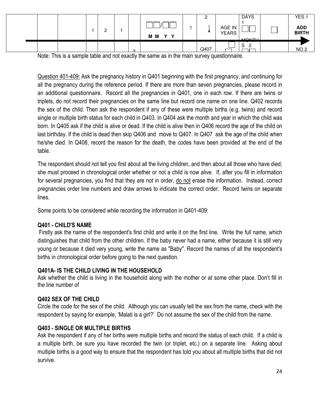|  |  | ◠<br><u>_</u> |        | v<br>M M<br>$\mathbf{Y}$ | <u>_</u> | <b>DAYS</b><br>AGE IN<br><b>YEARS</b><br><b>MONITH</b> | YES <sub>1</sub><br>ADD<br>BIRTH |
|--|--|---------------|--------|--------------------------|----------|--------------------------------------------------------|----------------------------------|
|  |  |               | $\sim$ |                          | Q407     | $\mathbf{C}$<br>C<br>১<br><u>.</u>                     | NO <sub>2</sub>                  |

2 Note: This is a sample table and not exactly the same as in the main survey questionnaire.

Question 401-409: Ask the pregnancy history in Q401 beginning with the first pregnancy, and continuing for all the pregnancy during the reference period. If there are more than seven pregnancies, please record in an additional questionnaire. Record all the pregnancies in Q401, one in each row. If there are twins or triplets, do not record their pregnancies on the same line but record one name on one line. Q402 records the sex of the child. Then ask the respondent if any of these were multiple births (e.g. twins) and record single or multiple birth status for each child in Q403. In Q404 ask the month and year in which the child was born. In Q405 ask if the child is alive or dead. If the child is alive then in Q406 record the age of the child on last birthday. If the child is dead then skip Q406 and move to Q407. In Q407 ask the age of the child when he/she died. In Q408, record the reason for the death, the codes have been provided at the end of the table.

The respondent should not tell you first about all the living children, and then about all those who have died; she must proceed in chronological order whether or not a child is now alive. If, after you fill in information for several pregnancies, you find that they are not in order, do not erase the information. Instead, correct pregnancies order line numbers and draw arrows to indicate the correct order. Record twins on separate lines.

Some points to be considered while recording the information in Q401-409:

# Q401 - CHILD'S NAME

 Firstly ask the name of the respondent's first child and write it on the first line. Write the full name, which distinguishes that child from the other children. If the baby never had a name, either because it is still very young or because it died very young, write the name as "Baby". Record the names of all the respondent's births in chronological order before going to the next question.

# Q401A- IS THE CHILD LIVING IN THE HOUSEHOLD

Ask whether the child is living in the household along with the mother or at some other place. Don't fill in the line number of

# Q402 SEX OF THE CHILD

Circle the code for the sex of the child. Although you can usually tell the sex from the name, check with the respondent by saying for example, 'Malati is a girl?' Do not assume the sex of the child from the name.

# Q403 - SINGLE OR MULTIPLE BIRTHS

Ask the respondent if any of her births were multiple births and record the status of each child. If a child is a multiple birth, be sure you have recorded the twin (or triplet, etc.) on a separate line. Asking about multiple births is a good way to ensure that the respondent has told you about all multiple births that did not survive.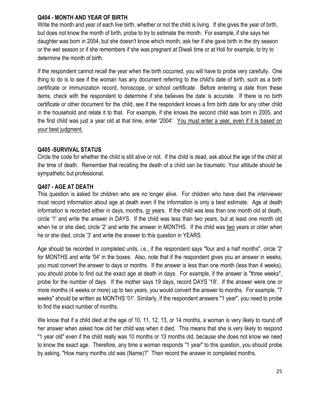### Q404 - MONTH AND YEAR OF BIRTH

Write the month and year of each live birth, whether or not the child is living. If she gives the year of birth, but does not know the month of birth, probe to try to estimate the month. For example, if she says her daughter was born in 2004, but she doesn't know which month, ask her if she gave birth in the dry season or the wet season or if she remembers if she was pregnant at Diwali time or at Holi for example, to try to determine the month of birth.

If the respondent cannot recall the year when the birth occurred, you will have to probe very carefully. One thing to do is to see if the woman has any document referring to the child's date of birth, such as a birth certificate or immunization record, horoscope, or school certificate. Before entering a date from these items, check with the respondent to determine if she believes the date is accurate. If there is no birth certificate or other document for the child, see if the respondent knows a firm birth date for any other child in the household and relate it to that. For example, if she knows the second child was born in 2005, and the first child was just a year old at that time, enter '2004'. You must enter a year, even if it is based on your best judgment.

### Q405 -SURVIVAL STATUS

Circle the code for whether the child is still alive or not. If the child is dead, ask about the age of the child at the time of death. Remember that recalling the death of a child can be traumatic. Your attitude should be sympathetic but professional.

### Q407 - AGE AT DEATH

This question is asked for children who are no longer alive. For children who have died the interviewer must record information about age at death even if the information is only a best estimate. Age at death information is recorded either in days, months, or years. If the child was less than one month old at death, circle '1' and write the answer in DAYS. If the child was less than two years, but at least one month old when he or she died, circle '2' and write the answer in MONTHS. If the child was two years or older when he or she died, circle '3' and write the answer to this question in YEARS.

Age should be recorded in completed units, i.e., if the respondent says "four and a half months", circle '2' for MONTHS and write '04' in the boxes. Also, note that if the respondent gives you an answer in weeks, you must convert the answer to days or months. If the answer is less than one month (less than 4 weeks), you should probe to find out the exact age at death in days. For example, if the answer is "three weeks", probe for the number of days. If the mother says 19 days, record DAYS '19'. If the answer were one or more months (4 weeks or more) up to two years, you would convert the answer to months. For example, "7 weeks" should be written as MONTHS '01'. Similarly, if the respondent answers "1 year", you need to probe to find the exact number of months.

We know that if a child died at the age of 10, 11, 12, 13, or 14 months, a woman is very likely to round off her answer when asked how old her child was when it died. This means that she is very likely to respond "1 year old" even if the child really was 10 months or 13 months old, because she does not know we need to know the exact age. Therefore, any time a woman responds "1 year" to this question, you should probe by asking, "How many months old was (Name)?" Then record the answer in completed months.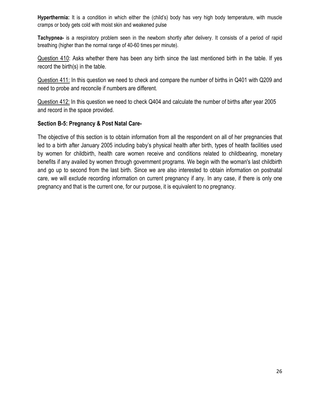Hyperthermia: It is a condition in which either the (child's) body has very high body temperature, with muscle cramps or body gets cold with moist skin and weakened pulse

Tachypnea- is a respiratory problem seen in the newborn shortly after delivery. It consists of a period of rapid breathing (higher than the normal range of 40-60 times per minute).

Question 410: Asks whether there has been any birth since the last mentioned birth in the table. If yes record the birth(s) in the table.

Question 411: In this question we need to check and compare the number of births in Q401 with Q209 and need to probe and reconcile if numbers are different.

Question 412: In this question we need to check Q404 and calculate the number of births after year 2005 and record in the space provided.

# Section B-5: Pregnancy & Post Natal Care-

The objective of this section is to obtain information from all the respondent on all of her pregnancies that led to a birth after January 2005 including baby's physical health after birth, types of health facilities used by women for childbirth, health care women receive and conditions related to childbearing, monetary benefits if any availed by women through government programs. We begin with the woman's last childbirth and go up to second from the last birth. Since we are also interested to obtain information on postnatal care, we will exclude recording information on current pregnancy if any. In any case, if there is only one pregnancy and that is the current one, for our purpose, it is equivalent to no pregnancy.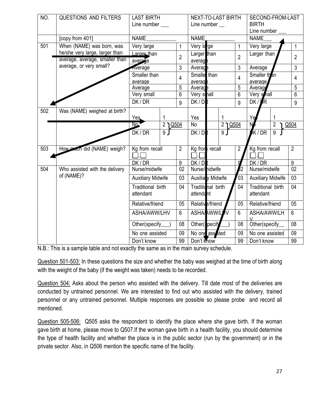| NO. | QUESTIONS AND FILTERS          | <b>LAST BIRTH</b>                                         |                           | <b>NEXT-TO-LAST BIRTH</b> |                | SECOND-FROM-LAST                |                 |  |  |  |
|-----|--------------------------------|-----------------------------------------------------------|---------------------------|---------------------------|----------------|---------------------------------|-----------------|--|--|--|
|     |                                | Line number ___                                           |                           | Line number __            |                | <b>BIRTH</b>                    |                 |  |  |  |
|     |                                |                                                           |                           |                           |                | Line number                     |                 |  |  |  |
|     | [copy from 401]                | <b>NAME</b>                                               |                           | NAME                      |                | <b>NAME</b>                     |                 |  |  |  |
| 501 | When (NAME) was born, was      | Very large                                                | 1                         | Very large                | $\mathbf{1}$   | Very large                      | $\mathbf{1}$    |  |  |  |
|     | he/she very large, larger than | Larger than                                               | $\overline{2}$            | Larger than               | $\overline{2}$ | Larger than                     | $\overline{2}$  |  |  |  |
|     | average, average, smaller than | average                                                   |                           | average                   |                |                                 |                 |  |  |  |
|     | average, or very small?        | Average                                                   | 3                         | Average                   | $\mathfrak{Z}$ | Average                         | 3               |  |  |  |
|     |                                | Smaller than<br>$\overline{4}$<br>average<br>5<br>Average |                           | Smalle than               | $\overline{4}$ | Smaller than                    | $\overline{4}$  |  |  |  |
|     |                                |                                                           |                           | averag                    |                | average                         |                 |  |  |  |
|     |                                |                                                           |                           | Average                   | 5              | Average                         | 5               |  |  |  |
|     |                                | Very small                                                | $6\phantom{1}$<br>9       | Very small                | $6\phantom{a}$ | Very shall                      | 6               |  |  |  |
|     |                                | DK / DR                                                   |                           | DK/DR                     | 9              | $DK/\sqrt{R}$                   | 9               |  |  |  |
| 502 | Was (NAME) weighed at birth?   | Yes.                                                      |                           |                           |                |                                 |                 |  |  |  |
|     |                                |                                                           |                           | Yes                       |                | Yę                              |                 |  |  |  |
|     |                                | No.                                                       | $\overline{2 \mid 0.504}$ | N <sub>o</sub>            | <u> 2 Q504</u> | $\overline{2}$                  | Q504            |  |  |  |
|     |                                | 9<br>DK / DR                                              |                           | 9<br>DK/DR                |                | K/DR<br>$\overline{9}$          |                 |  |  |  |
|     |                                |                                                           |                           |                           |                |                                 |                 |  |  |  |
| 503 | How mach did (NAME) weigh?     | Kg from recall                                            | $\overline{2}$            | Kg fror<br>recall         | $\overline{2}$ | Kg from recall                  | $\overline{2}$  |  |  |  |
|     |                                |                                                           |                           |                           |                |                                 |                 |  |  |  |
|     |                                | DK/DR                                                     | $\boldsymbol{9}$          | DK/DI                     |                | DK / DR                         | 9               |  |  |  |
| 504 | Who assisted with the delivery | Nurse/midwife                                             | 02                        | Nurse/nidwife             | Ι2             | Nurse/midwife                   | $\overline{02}$ |  |  |  |
|     | of (NAME)?                     | <b>Auxiliary Midwife</b>                                  | 03                        | Auxilia y Midwife         | 03             | <b>Auxiliary Midwife</b>        | 03              |  |  |  |
|     | Traditional birth              |                                                           | 04                        | Traditional birth         | 04             | Traditional birth               | 04              |  |  |  |
|     |                                | attendant<br>Relative/friend                              |                           | attendant                 |                | attendant                       |                 |  |  |  |
|     |                                |                                                           |                           | Relative/friend           | 05             | Relative/friend                 | $\overline{05}$ |  |  |  |
|     |                                | ASHA/AWW/LHV                                              | 6                         | <b>ASHA/AWW/LI</b>        | lv<br>6        | ASHA/AWW/LH                     | 6               |  |  |  |
|     |                                | Other(specify                                             | 08                        | Other(specify             | 08             | $\mathcal{U}$<br>Other(specify_ | 08              |  |  |  |
|     |                                | No one assisted                                           | 09                        | No one assisted           | 09             | No one assisted                 | 09              |  |  |  |
|     |                                | 99<br>Don't know                                          |                           | Don't know                | 99             | Don't know                      | 99              |  |  |  |

N.B.: This is a sample table and not exactly the same as in the main survey schedule.

Question 501-503: In these questions the size and whether the baby was weighed at the time of birth along with the weight of the baby (if the weight was taken) needs to be recorded.

Question 504: Asks about the person who assisted with the delivery. Till date most of the deliveries are conducted by untrained personnel. We are interested to find out who assisted with the delivery, trained personnel or any untrained personnel. Multiple responses are possible so please probe and record all mentioned.

Question 505-506: Q505 asks the respondent to identify the place where she gave birth. If the woman gave birth at home, please move to Q507.If the woman gave birth in a health facility, you should determine the type of health facility and whether the place is in the public sector (run by the government) or in the private sector. Also, in Q506 mention the specific name of the facility.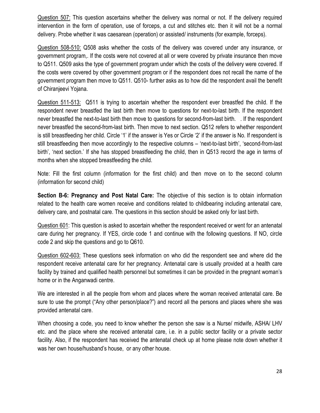Question 507: This question ascertains whether the delivery was normal or not. If the delivery required intervention in the form of operation, use of forceps, a cut and stitches etc. then it will not be a normal delivery. Probe whether it was caesarean (operation) or assisted/ instruments (for example, forceps).

Question 508-510: Q508 asks whether the costs of the delivery was covered under any insurance, or government program,. If the costs were not covered at all or were covered by private insurance then move to Q511. Q509 asks the type of government program under which the costs of the delivery were covered. If the costs were covered by other government program or if the respondent does not recall the name of the government program then move to Q511. Q510- further asks as to how did the respondent avail the benefit of Chiranjeevi Yojana.

Question 511-513: Q511 is trying to ascertain whether the respondent ever breastfed the child. If the respondent never breastfed the last birth then move to questions for next-to-last birth. If the respondent never breastfed the next-to-last birth then move to questions for second-from-last birth. . If the respondent never breastfed the second-from-last birth. Then move to next section. Q512 refers to whether respondent is still breastfeeding her child. Circle '1' if the answer is Yes or Circle '2' if the answer is No. If respondent is still breastfeeding then move accordingly to the respective columns – 'next-to-last birth', 'second-from-last birth', 'next section.' If she has stopped breastfeeding the child, then in Q513 record the age in terms of months when she stopped breastfeeding the child.

Note: Fill the first column (information for the first child) and then move on to the second column (information for second child)

Section B-6: Pregnancy and Post Natal Care: The objective of this section is to obtain information related to the health care women receive and conditions related to childbearing including antenatal care, delivery care, and postnatal care. The questions in this section should be asked only for last birth.

Question 601: This question is asked to ascertain whether the respondent received or went for an antenatal care during her pregnancy. If YES, circle code 1 and continue with the following questions. If NO, circle code 2 and skip the questions and go to Q610.

Question 602-603: These questions seek information on who did the respondent see and where did the respondent receive antenatal care for her pregnancy. Antenatal care is usually provided at a health care facility by trained and qualified health personnel but sometimes it can be provided in the pregnant woman's home or in the Anganwadi centre.

We are interested in all the people from whom and places where the woman received antenatal care. Be sure to use the prompt ("Any other person/place?") and record all the persons and places where she was provided antenatal care.

When choosing a code, you need to know whether the person she saw is a Nurse/ midwife, ASHA/ LHV etc. and the place where she received antenatal care, i.e. in a public sector facility or a private sector facility. Also, if the respondent has received the antenatal check up at home please note down whether it was her own house/husband's house, or any other house.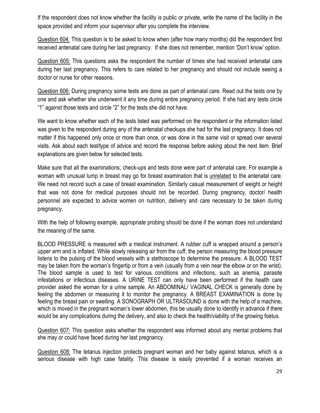If the respondent does not know whether the facility is public or private, write the name of the facility in the space provided and inform your supervisor after you complete the interview.

Question 604: This question is to be asked to know when (after how many months) did the respondent first received antenatal care during her last pregnancy. If she does not remember, mention 'Don't know' option.

Question 605: This questions asks the respondent the number of times she had received antenatal care during her last pregnancy. This refers to care related to her pregnancy and should not include seeing a doctor or nurse for other reasons.

Question 606: During pregnancy some tests are done as part of antenatal care. Read out the tests one by one and ask whether she underwent it any time during entire pregnancy period. If she had any tests circle "1" against those tests and circle "2" for the tests she did not have.

We want to know whether each of the tests listed was performed on the respondent or the information listed was given to the respondent during any of the antenatal checkups she had for the last pregnancy. It does not matter if this happened only once or more than once, or was done in the same visit or spread over several visits. Ask about each test/type of advice and record the response before asking about the next item. Brief explanations are given below for selected tests.

Make sure that all the examinations; check-ups and tests done were part of antenatal care. For example a woman with unusual lump in breast may go for breast examination that is unrelated to the antenatal care. We need not record such a case of breast examination. Similarly casual measurement of weight or height that was not done for medical purposes should not be recorded. During pregnancy, doctor/ health personnel are expected to advice women on nutrition, delivery and care necessary to be taken during pregnancy.

With the help of following example, appropriate probing should be done if the woman does not understand the meaning of the same.

BLOOD PRESSURE is measured with a medical instrument. A rubber cuff is wrapped around a person's upper arm and is inflated. While slowly releasing air from the cuff, the person measuring the blood pressure listens to the pulsing of the blood vessels with a stethoscope to determine the pressure. A BLOOD TEST may be taken from the woman's fingertip or from a vein (usually from a vein near the elbow or on the wrist). The blood sample is used to test for various conditions and infections, such as anemia, parasite infestations or infectious diseases. A URINE TEST can only have been performed if the health care provider asked the woman for a urine sample. An ABDOMINAL/ VAGINAL CHECK is generally done by feeling the abdomen or measuring it to monitor the pregnancy. A BREAST EXAMINATION is done by feeling the breast pain or swelling. A SONOGRAPH OR ULTRASOUND is done with the help of a machine, which is moved in the pregnant woman's lower abdomen, this be usually done to identify in advance if there would be any complications during the delivery, and also to check the health/viability of the growing foetus.

Question 607: This question asks whether the respondent was informed about any mental problems that she may or could have faced during her last pregnancy.

Question 608: The tetanus injection protects pregnant woman and her baby against tetanus, which is a serious disease with high case fatality. This disease is easily prevented if a woman receives an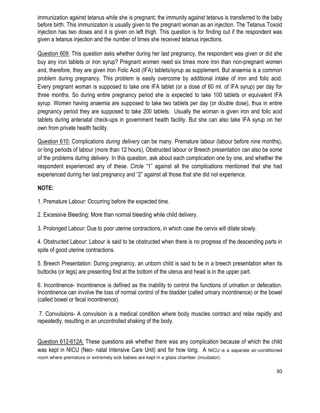immunization against tetanus while she is pregnant; the immunity against tetanus is transferred to the baby before birth. This immunization is usually given to the pregnant woman as an injection. The Tetanus Toxoid injection has two doses and it is given on left thigh. This question is for finding out if the respondent was given a tetanus injection and the number of times she received tetanus injections.

Question 609: This question asks whether during her last pregnancy, the respondent was given or did she buy any iron tablets or iron syrup? Pregnant women need six times more iron than non-pregnant women and, therefore, they are given Iron Folic Acid (IFA) tablets/syrup as supplement. But anaemia is a common problem during pregnancy. This problem is easily overcome by additional intake of iron and folic acid. Every pregnant woman is supposed to take one IFA tablet (or a dose of 60 ml. of IFA syrup) per day for three months. So during entire pregnancy period she is expected to take 100 tablets or equivalent IFA syrup. Women having anaemia are supposed to take two tablets per day (or double dose), thus in entire pregnancy period they are supposed to take 200 tablets. Usually the woman is given iron and folic acid tablets during antenatal check-ups in government health facility. But she can also take IFA syrup on her own from private health facility.

Question 610: Complications during delivery can be many. Premature labour (labour before nine months), or long periods of labour (more than 12 hours), Obstructed labour or Breech presentation can also be some of the problems during delivery. In this question, ask about each complication one by one, and whether the respondent experienced any of these. Circle "1" against all the complications mentioned that she had experienced during her last pregnancy and "2" against all those that she did not experience.

# NOTE:

1. Premature Labour: Occurring before the expected time.

2. Excessive Bleeding: More than normal bleeding while child delivery.

3. Prolonged Labour: Due to poor uterine contractions, in which case the cervix will dilate slowly.

4. Obstructed Labour: Labour is said to be obstructed when there is no progress of the descending parts in spite of good uterine contractions.

5. Breech Presentation: During pregnancy, an unborn child is said to be in a breech presentation when its buttocks (or legs) are presenting first at the bottom of the uterus and head is in the upper part.

6. Incontinence- Incontinence is defined as the inability to control the functions of urination or defecation. Incontinence can involve the loss of normal control of the bladder (called urinary incontinence) or the bowel (called bowel or fecal incontinence).

 7. Convulsions- A convulsion is a medical condition where body muscles contract and relax rapidly and repeatedly, resulting in an uncontrolled shaking of the body.

Question 612-612A: These questions ask whether there was any complication because of which the child was kept in NICU (Neo- natal Intensive Care Unit) and for how long. A NICU is a separate air-conditioned room where premature or extremely sick babies are kept in a glass chamber (incubator).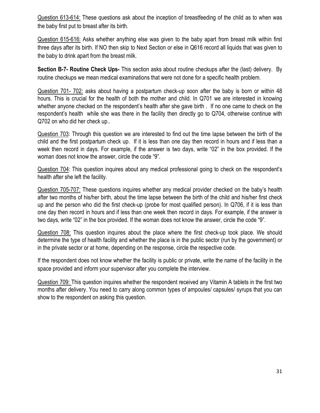Question 613-614: These questions ask about the inception of breastfeeding of the child as to when was the baby first put to breast after its birth.

Question 615-616: Asks whether anything else was given to the baby apart from breast milk within first three days after its birth. If NO then skip to Next Section or else in Q616 record all liquids that was given to the baby to drink apart from the breast milk.

Section B-7- Routine Check Ups- This section asks about routine checkups after the (last) delivery. By routine checkups we mean medical examinations that were not done for a specific health problem.

Question 701- 702: asks about having a postpartum check-up soon after the baby is born or within 48 hours. This is crucial for the health of both the mother and child. In Q701 we are interested in knowing whether anyone checked on the respondent's health after she gave birth . If no one came to check on the respondent's health while she was there in the facility then directly go to Q704, otherwise continue with Q702 on who did her check up..

Question 703: Through this question we are interested to find out the time lapse between the birth of the child and the first postpartum check up. If it is less than one day then record in hours and if less than a week then record in days. For example, if the answer is two days, write "02" in the box provided. If the woman does not know the answer, circle the code "9".

Question 704: This question inquires about any medical professional going to check on the respondent's health after she left the facility.

Question 705-707: These questions inquires whether any medical provider checked on the baby's health after two months of his/her birth, about the time lapse between the birth of the child and his/her first check up and the person who did the first check-up (probe for most qualified person). In Q706, if it is less than one day then record in hours and if less than one week then record in days. For example, if the answer is two days, write "02" in the box provided. If the woman does not know the answer, circle the code "9".

Question 708: This question inquires about the place where the first check-up took place. We should determine the type of health facility and whether the place is in the public sector (run by the government) or in the private sector or at home, depending on the response, circle the respective code.

If the respondent does not know whether the facility is public or private, write the name of the facility in the space provided and inform your supervisor after you complete the interview.

Question 709: This question inquires whether the respondent received any Vitamin A tablets in the first two months after delivery. You need to carry along common types of ampoules/ capsules/ syrups that you can show to the respondent on asking this question.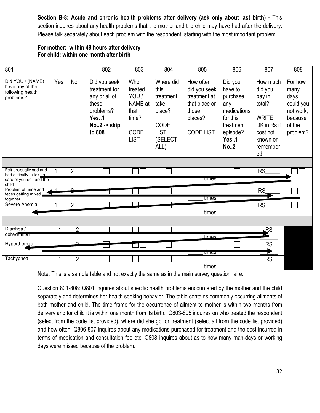Section B-8: Acute and chronic health problems after delivery (ask only about last birth) - This section inquires about any health problems that the mother and the child may have had after the delivery. Please talk separately about each problem with the respondent, starting with the most important problem.

# For mother: within 48 hours after delivery For child: within one month after birth

| 801                                                                  |     |                | 802                                                                                                   | 803                                                                                                                                                                                                                                                                           | 804 | 805                                                                                                             | 806                                                                                                              | 807                                                                                | 808 |
|----------------------------------------------------------------------|-----|----------------|-------------------------------------------------------------------------------------------------------|-------------------------------------------------------------------------------------------------------------------------------------------------------------------------------------------------------------------------------------------------------------------------------|-----|-----------------------------------------------------------------------------------------------------------------|------------------------------------------------------------------------------------------------------------------|------------------------------------------------------------------------------------|-----|
| Did YOU / (NAME)<br>have any of the<br>following health<br>problems? | Yes | <b>No</b>      | Did you seek<br>treatment for<br>any or all of<br>these<br>problems?<br>Yes1<br>No2 -> skip<br>to 808 | Who<br>Where did<br>How often<br>treated<br>did you seek<br>this<br>YOU/<br>treatment at<br>treatment<br>NAME at<br>take<br>that place or<br>that<br>place?<br>those<br>time?<br>places?<br>CODE<br>CODE<br><b>LIST</b><br><b>CODE LIST</b><br><b>LIST</b><br>(SELECT<br>ALL) |     | Did you<br>have to<br>purchase<br>any<br>medications<br>for this<br>treatment<br>episode?<br>Yes1<br><b>No2</b> | How much<br>did you<br>pay in<br>total?<br><b>WRITE</b><br>DK in Rs if<br>cost not<br>known or<br>remember<br>ed | For how<br>many<br>days<br>could you<br>not work,<br>because<br>of the<br>problem? |     |
|                                                                      |     |                |                                                                                                       |                                                                                                                                                                                                                                                                               |     |                                                                                                                 |                                                                                                                  |                                                                                    |     |
| Felt unusually sad and<br>had difficulty in taking                   |     | $\overline{2}$ |                                                                                                       |                                                                                                                                                                                                                                                                               |     |                                                                                                                 |                                                                                                                  | <b>RS</b>                                                                          |     |
| care of yourself and the<br>child                                    |     |                |                                                                                                       |                                                                                                                                                                                                                                                                               |     | umes                                                                                                            |                                                                                                                  |                                                                                    |     |
| Problem of urine and<br>feces getting mixed                          |     | $\Omega$       |                                                                                                       |                                                                                                                                                                                                                                                                               |     |                                                                                                                 |                                                                                                                  | <b>RS</b>                                                                          |     |
| together<br>Severe Anemia                                            |     |                |                                                                                                       |                                                                                                                                                                                                                                                                               |     | times                                                                                                           |                                                                                                                  |                                                                                    |     |
|                                                                      |     | $\overline{2}$ |                                                                                                       |                                                                                                                                                                                                                                                                               |     | times                                                                                                           |                                                                                                                  | RS                                                                                 |     |
|                                                                      |     |                |                                                                                                       |                                                                                                                                                                                                                                                                               |     |                                                                                                                 |                                                                                                                  |                                                                                    |     |
| Diarrhea /                                                           |     | 2              |                                                                                                       |                                                                                                                                                                                                                                                                               |     |                                                                                                                 |                                                                                                                  | RS                                                                                 |     |
| dehydration                                                          |     |                |                                                                                                       |                                                                                                                                                                                                                                                                               |     | times.                                                                                                          |                                                                                                                  |                                                                                    |     |
| Hyperthermia                                                         |     | $\overline{2}$ |                                                                                                       |                                                                                                                                                                                                                                                                               |     |                                                                                                                 |                                                                                                                  | <b>RS</b>                                                                          |     |
| Tachypnea                                                            |     | $\overline{2}$ |                                                                                                       |                                                                                                                                                                                                                                                                               |     | प्तानाटञ                                                                                                        |                                                                                                                  | <b>RS</b>                                                                          |     |
|                                                                      |     |                |                                                                                                       |                                                                                                                                                                                                                                                                               |     | times                                                                                                           |                                                                                                                  |                                                                                    |     |

Note: This is a sample table and not exactly the same as in the main survey questionnaire.

Question 801-808: Q801 inquires about specific health problems encountered by the mother and the child separately and determines her health seeking behavior. The table contains commonly occurring ailments of both mother and child. The time frame for the occurrence of ailment to mother is within two months from delivery and for child it is within one month from its birth. Q803-805 inquires on who treated the respondent (select from the code list provided), where did she go for treatment (select all from the code list provided) and how often. Q806-807 inquires about any medications purchased for treatment and the cost incurred in terms of medication and consultation fee etc. Q808 inquires about as to how many man-days or working days were missed because of the problem.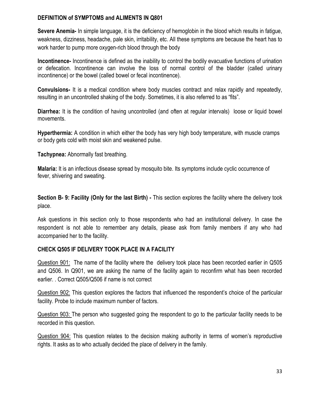### DEFINITION of SYMPTOMS and ALIMENTS IN Q801

Severe Anemia- In simple language, it is the deficiency of hemoglobin in the blood which results in fatigue, weakness, dizziness, headache, pale skin, irritability, etc. All these symptoms are because the heart has to work harder to pump more oxygen-rich blood through the body

Incontinence- Incontinence is defined as the inability to control the bodily evacuative functions of urination or defecation. Incontinence can involve the loss of normal control of the bladder (called urinary incontinence) or the bowel (called bowel or fecal incontinence).

Convulsions- It is a medical condition where body muscles contract and relax rapidly and repeatedly, resulting in an uncontrolled shaking of the body. Sometimes, it is also referred to as "fits".

Diarrhea: It is the condition of having uncontrolled (and often at regular intervals) loose or liquid bowel movements.

Hyperthermia: A condition in which either the body has very high body temperature, with muscle cramps or body gets cold with moist skin and weakened pulse.

Tachypnea: Abnormally fast breathing.

Malaria: It is an infectious disease spread by mosquito bite. Its symptoms include cyclic occurrence of fever, shivering and sweating.

Section B- 9: Facility (Only for the last Birth) - This section explores the facility where the delivery took place.

Ask questions in this section only to those respondents who had an institutional delivery. In case the respondent is not able to remember any details, please ask from family members if any who had accompanied her to the facility.

### CHECK Q505 IF DELIVERY TOOK PLACE IN A FACILITY

Question 901: The name of the facility where the delivery took place has been recorded earlier in Q505 and Q506. In Q901, we are asking the name of the facility again to reconfirm what has been recorded earlier. . Correct Q505/Q506 if name is not correct

Question 902: This question explores the factors that influenced the respondent's choice of the particular facility. Probe to include maximum number of factors.

Question 903: The person who suggested going the respondent to go to the particular facility needs to be recorded in this question.

Question 904: This question relates to the decision making authority in terms of women's reproductive rights. It asks as to who actually decided the place of delivery in the family.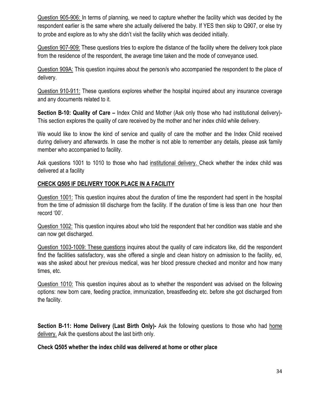Question 905-906: In terms of planning, we need to capture whether the facility which was decided by the respondent earlier is the same where she actually delivered the baby. If YES then skip to Q907, or else try to probe and explore as to why she didn't visit the facility which was decided initially.

Question 907-909: These questions tries to explore the distance of the facility where the delivery took place from the residence of the respondent, the average time taken and the mode of conveyance used.

Question 909A: This question inquires about the person/s who accompanied the respondent to the place of delivery.

Question 910-911: These questions explores whether the hospital inquired about any insurance coverage and any documents related to it.

Section B-10: Quality of Care – Index Child and Mother (Ask only those who had institutional delivery)-This section explores the quality of care received by the mother and her index child while delivery.

We would like to know the kind of service and quality of care the mother and the Index Child received during delivery and afterwards. In case the mother is not able to remember any details, please ask family member who accompanied to facility.

Ask questions 1001 to 1010 to those who had institutional delivery. Check whether the index child was delivered at a facility

# CHECK Q505 IF DELIVERY TOOK PLACE IN A FACILITY

Question 1001: This question inquires about the duration of time the respondent had spent in the hospital from the time of admission till discharge from the facility. If the duration of time is less than one hour then record '00'.

Question 1002: This question inquires about who told the respondent that her condition was stable and she can now get discharged.

Question 1003-1009: These questions inquires about the quality of care indicators like, did the respondent find the facilities satisfactory, was she offered a single and clean history on admission to the facility, ed, was she asked about her previous medical, was her blood pressure checked and monitor and how many times, etc.

Question 1010: This question inquires about as to whether the respondent was advised on the following options: new born care, feeding practice, immunization, breastfeeding etc. before she got discharged from the facility.

Section B-11: Home Delivery (Last Birth Only)- Ask the following questions to those who had home delivery. Ask the questions about the last birth only.

# Check Q505 whether the index child was delivered at home or other place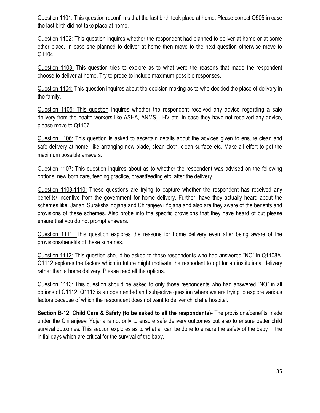Question 1101: This question reconfirms that the last birth took place at home. Please correct Q505 in case the last birth did not take place at home.

Question 1102: This question inquires whether the respondent had planned to deliver at home or at some other place. In case she planned to deliver at home then move to the next question otherwise move to Q1104.

Question 1103: This question tries to explore as to what were the reasons that made the respondent choose to deliver at home. Try to probe to include maximum possible responses.

Question 1104: This question inquires about the decision making as to who decided the place of delivery in the family.

Question 1105: This question inquires whether the respondent received any advice regarding a safe delivery from the health workers like ASHA, ANMS, LHV etc. In case they have not received any advice, please move to Q1107.

Question 1106: This question is asked to ascertain details about the advices given to ensure clean and safe delivery at home, like arranging new blade, clean cloth, clean surface etc. Make all effort to get the maximum possible answers.

Question 1107: This question inquires about as to whether the respondent was advised on the following options: new born care, feeding practice, breastfeeding etc. after the delivery.

Question 1108-1110: These questions are trying to capture whether the respondent has received any benefits/ incentive from the government for home delivery. Further, have they actually heard about the schemes like, Janani Suraksha Yojana and Chiranjeevi Yojana and also are they aware of the benefits and provisions of these schemes. Also probe into the specific provisions that they have heard of but please ensure that you do not prompt answers.

Question 1111: This question explores the reasons for home delivery even after being aware of the provisions/benefits of these schemes.

Question 1112: This question should be asked to those respondents who had answered "NO" in Q1108A. Q1112 explores the factors which in future might motivate the respodent to opt for an institutional delivery rather than a home delivery. Please read all the options.

Question 1113: This question should be asked to only those respondents who had answered "NO" in all options of Q1112. Q1113 is an open ended and subjective question where we are trying to explore various factors because of which the respondent does not want to deliver child at a hospital.

Section B-12: Child Care & Safety (to be asked to all the respondents)- The provisions/benefits made under the Chiranjeevi Yojana is not only to ensure safe delivery outcomes but also to ensure better child survival outcomes. This section explores as to what all can be done to ensure the safety of the baby in the initial days which are critical for the survival of the baby.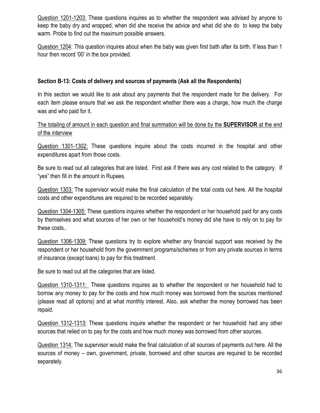Question 1201-1203: These questions inquires as to whether the respondent was advised by anyone to keep the baby dry and wrapped, when did she receive the advice and what did she do to keep the baby warm. Probe to find out the maximum possible answers.

Question 1204: This question inquires about when the baby was given first bath after its birth. If less than 1 hour then record '00' in the box provided.

# Section B-13: Costs of delivery and sources of payments (Ask all the Respondents)

In this section we would like to ask about any payments that the respondent made for the delivery. For each item please ensure that we ask the respondent whether there was a charge, how much the charge was and who paid for it.

The totaling of amount in each question and final summation will be done by the **SUPERVISOR** at the end of the interview

Question 1301-1302: These questions inquire about the costs incurred in the hospital and other expenditures apart from those costs.

Be sure to read out all categories that are listed. First ask if there was any cost related to the category. If "yes" then fill in the amount in Rupees.

Question 1303: The supervisor would make the final calculation of the total costs out here. All the hospital costs and other expenditures are required to be recorded separately.

Question 1304-1305: These questions inquires whether the respondent or her household paid for any costs by themselves and what sources of her own or her household's money did she have to rely on to pay for these costs..

Question 1306-1309: These questions try to explore whether any financial support was received by the respondent or her household from the government programs/schemes or from any private sources in terms of insurance (except loans) to pay for this treatment.

Be sure to read out all the categories that are listed.

Question 1310-1311: These questions inquires as to whether the respondent or her household had to borrow any money to pay for the costs and how much money was borrowed from the sources mentioned (please read all options) and at what monthly interest. Also, ask whether the money borrowed has been repaid.

Question 1312-1313: These questions inquire whether the respondent or her household had any other sources that relied on to pay for the costs and how much money was borrowed from other sources.

Question 1314: The supervisor would make the final calculation of all sources of payments out here. All the sources of money – own, government, private, borrowed and other sources are required to be recorded separately.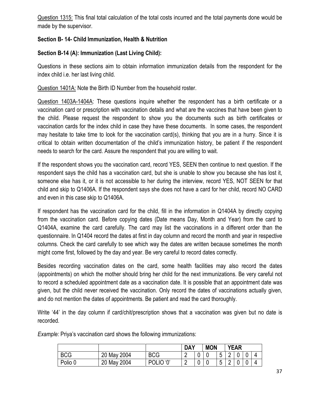Question 1315: This final total calculation of the total costs incurred and the total payments done would be made by the supervisor.

# Section B- 14- Child Immunization, Health & Nutrition

# Section B-14 (A): Immunization (Last Living Child):

Questions in these sections aim to obtain information immunization details from the respondent for the index child i.e. her last living child.

Question 1401A: Note the Birth ID Number from the household roster.

Question 1403A-1404A: These questions inquire whether the respondent has a birth certificate or a vaccination card or prescription with vaccination details and what are the vaccines that have been given to the child. Please request the respondent to show you the documents such as birth certificates or vaccination cards for the index child in case they have these documents. In some cases, the respondent may hesitate to take time to look for the vaccination card(s), thinking that you are in a hurry. Since it is critical to obtain written documentation of the child's immunization history, be patient if the respondent needs to search for the card. Assure the respondent that you are willing to wait.

If the respondent shows you the vaccination card, record YES, SEEN then continue to next question. If the respondent says the child has a vaccination card, but she is unable to show you because she has lost it, someone else has it, or it is not accessible to her during the interview, record YES, NOT SEEN for that child and skip to Q1406A. If the respondent says she does not have a card for her child, record NO CARD and even in this case skip to Q1406A.

If respondent has the vaccination card for the child, fill in the information in Q1404A by directly copying from the vaccination card. Before copying dates (Date means Day, Month and Year) from the card to Q1404A, examine the card carefully. The card may list the vaccinations in a different order than the questionnaire. In Q1404 record the dates at first in day column and record the month and year in respective columns. Check the card carefully to see which way the dates are written because sometimes the month might come first, followed by the day and year. Be very careful to record dates correctly.

Besides recording vaccination dates on the card, some health facilities may also record the dates (appointments) on which the mother should bring her child for the next immunizations. Be very careful not to record a scheduled appointment date as a vaccination date. It is possible that an appointment date was given, but the child never received the vaccination. Only record the dates of vaccinations actually given, and do not mention the dates of appointments. Be patient and read the card thoroughly.

Write '44' in the day column if card/chit/prescription shows that a vaccination was given but no date is recorded.

|            |             |                    | <b>DAY</b> | <b>MON</b> | <b>YEAR</b>              |        |   |  |  |
|------------|-------------|--------------------|------------|------------|--------------------------|--------|---|--|--|
| <b>BCG</b> | 20 May 2004 | <b>BCG</b>         | -          |            | 片<br>◡                   |        |   |  |  |
| Polio U    | 20 May 2004 | <b>POLIO</b><br>ʻ0 |            |            | $\overline{r}$<br>h<br>ν | ⌒<br>- | u |  |  |

Example: Priya's vaccination card shows the following immunizations: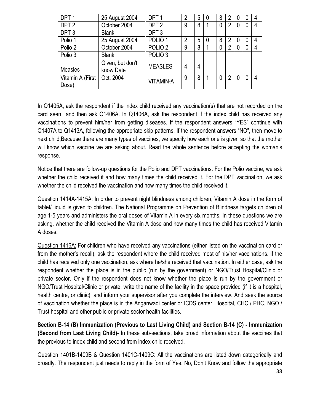| DPT <sub>1</sub>          | 25 August 2004                | DPT <sub>1</sub>   | 2 | 5 | $\theta$ | 8 | 2              | $\Omega$    | $\theta$ | 4 |
|---------------------------|-------------------------------|--------------------|---|---|----------|---|----------------|-------------|----------|---|
| DPT <sub>2</sub>          | October 2004                  | DPT <sub>2</sub>   | 9 | 8 |          |   | $\overline{2}$ | 0           | 0        | 4 |
| DPT <sub>3</sub>          | <b>Blank</b>                  | DPT <sub>3</sub>   |   |   |          |   |                |             |          |   |
| Polio 1                   | 25 August 2004                | POLIO <sub>1</sub> | 2 | 5 | 0        | 8 | $\overline{2}$ | 0           | 0        | 4 |
| Polio 2                   | October 2004                  | POLIO <sub>2</sub> | 9 | 8 |          |   | $\overline{2}$ | $\mathbf 0$ | 0        | 4 |
| Polio 3                   | <b>Blank</b>                  | POLIO <sub>3</sub> |   |   |          |   |                |             |          |   |
| <b>Measles</b>            | Given, but don't<br>know Date | <b>MEASLES</b>     | 4 | 4 |          |   |                |             |          |   |
| Vitamin A (First<br>Dose) | Oct. 2004                     | <b>VITAMIN-A</b>   | 9 | 8 |          |   | 2              | 0           | 0        | 4 |

In Q1405A, ask the respondent if the index child received any vaccination(s) that are not recorded on the card seen and then ask Q1406A. In Q1406A, ask the respondent if the index child has received any vaccinations to prevent him/her from getting diseases. If the respondent answers "YES" continue with Q1407A to Q1413A, following the appropriate skip patterns. If the respondent answers "NO", then move to next child,Because there are many types of vaccines, we specify how each one is given so that the mother will know which vaccine we are asking about. Read the whole sentence before accepting the woman's response.

Notice that there are follow-up questions for the Polio and DPT vaccinations. For the Polio vaccine, we ask whether the child received it and how many times the child received it. For the DPT vaccination, we ask whether the child received the vaccination and how many times the child received it.

Question 1414A-1415A: In order to prevent night blindness among children, Vitamin A dose in the form of tablet/ liquid is given to children. The National Programme on Prevention of Blindness targets children of age 1-5 years and administers the oral doses of Vitamin A in every six months. In these questions we are asking, whether the child received the Vitamin A dose and how many times the child has received Vitamin A doses.

Question 1416A: For children who have received any vaccinations (either listed on the vaccination card or from the mother's recall), ask the respondent where the child received most of his/her vaccinations. If the child has received only one vaccination, ask where he/she received that vaccination. In either case, ask the respondent whether the place is in the public (run by the government) or NGO/Trust Hospital/Clinic or private sector. Only if the respondent does not know whether the place is run by the government or NGO/Trust Hospital/Clinic or private, write the name of the facility in the space provided (if it is a hospital, health centre, or clinic), and inform your supervisor after you complete the interview. And seek the source of vaccination whether the place is in the Anganwadi center or ICDS center, Hospital, CHC / PHC, NGO / Trust hospital and other public or private sector health facilities.

Section B-14 (B) Immunization (Previous to Last Living Child) and Section B-14 (C) - Immunization (Second from Last Living Child)- In these sub-sections, take broad information about the vaccines that the previous to index child and second from index child received.

Question 1401B-1409B & Question 1401C-1409C: All the vaccinations are listed down categorically and broadly. The respondent just needs to reply in the form of Yes, No, Don't Know and follow the appropriate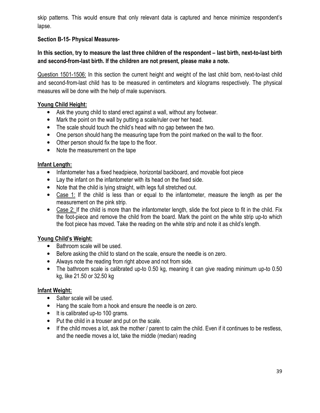skip patterns. This would ensure that only relevant data is captured and hence minimize respondent's lapse.

# Section B-15- Physical Measures-

# In this section, try to measure the last three children of the respondent – last birth, next-to-last birth and second-from-last birth. If the children are not present, please make a note.

Question 1501-1506: In this section the current height and weight of the last child born, next-to-last child and second-from-last child has to be measured in centimeters and kilograms respectively. The physical measures will be done with the help of male supervisors.

## Young Child Height:

- Ask the young child to stand erect against a wall, without any footwear.
- Mark the point on the wall by putting a scale/ruler over her head.
- The scale should touch the child's head with no gap between the two.
- One person should hang the measuring tape from the point marked on the wall to the floor.
- Other person should fix the tape to the floor.
- Note the measurement on the tape

### Infant Length:

- Infantometer has a fixed headpiece, horizontal backboard, and movable foot piece
- Lay the infant on the infantometer with its head on the fixed side.
- Note that the child is lying straight, with legs full stretched out.
- Case 1: If the child is less than or equal to the infantometer, measure the length as per the measurement on the pink strip.
- Case 2: If the child is more than the infantometer length, slide the foot piece to fit in the child. Fix the foot-piece and remove the child from the board. Mark the point on the white strip up-to which the foot piece has moved. Take the reading on the white strip and note it as child's length.

# Young Child's Weight:

- Bathroom scale will be used.
- Before asking the child to stand on the scale, ensure the needle is on zero.
- Always note the reading from right above and not from side.
- The bathroom scale is calibrated up-to 0.50 kg, meaning it can give reading minimum up-to 0.50 kg, like 21.50 or 32.50 kg

### Infant Weight:

- Salter scale will be used.
- Hang the scale from a hook and ensure the needle is on zero.
- It is calibrated up-to 100 grams.
- Put the child in a trouser and put on the scale.
- If the child moves a lot, ask the mother / parent to calm the child. Even if it continues to be restless, and the needle moves a lot, take the middle (median) reading